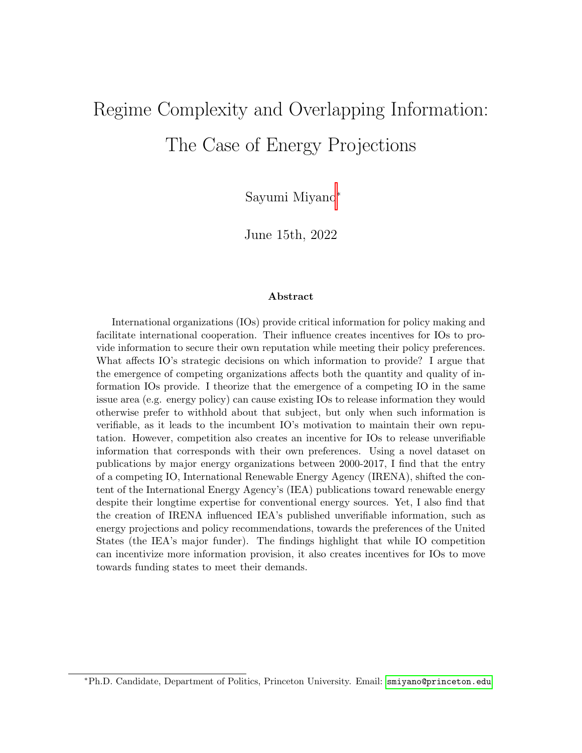# <span id="page-0-0"></span>Regime Complexity and Overlapping Information: The Case of Energy Projections

Sayumi Miyano<sup>∗</sup>

June 15th, 2022

#### Abstract

International organizations (IOs) provide critical information for policy making and facilitate international cooperation. Their influence creates incentives for IOs to provide information to secure their own reputation while meeting their policy preferences. What affects IO's strategic decisions on which information to provide? I argue that the emergence of competing organizations affects both the quantity and quality of information IOs provide. I theorize that the emergence of a competing IO in the same issue area (e.g. energy policy) can cause existing IOs to release information they would otherwise prefer to withhold about that subject, but only when such information is verifiable, as it leads to the incumbent IO's motivation to maintain their own reputation. However, competition also creates an incentive for IOs to release unverifiable information that corresponds with their own preferences. Using a novel dataset on publications by major energy organizations between 2000-2017, I find that the entry of a competing IO, International Renewable Energy Agency (IRENA), shifted the content of the International Energy Agency's (IEA) publications toward renewable energy despite their longtime expertise for conventional energy sources. Yet, I also find that the creation of IRENA influenced IEA's published unverifiable information, such as energy projections and policy recommendations, towards the preferences of the United States (the IEA's major funder). The findings highlight that while IO competition can incentivize more information provision, it also creates incentives for IOs to move towards funding states to meet their demands.

<sup>∗</sup>Ph.D. Candidate, Department of Politics, Princeton University. Email: <smiyano@princeton.edu>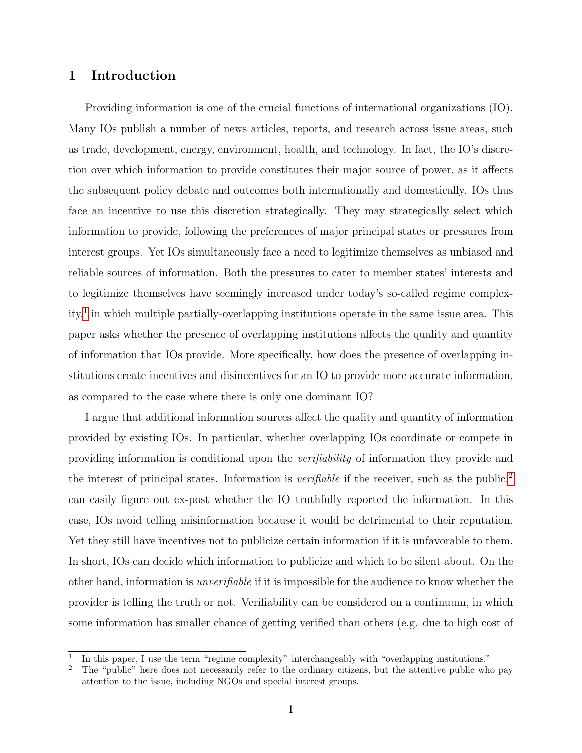#### 1 Introduction

Providing information is one of the crucial functions of international organizations (IO). Many IOs publish a number of news articles, reports, and research across issue areas, such as trade, development, energy, environment, health, and technology. In fact, the IO's discretion over which information to provide constitutes their major source of power, as it affects the subsequent policy debate and outcomes both internationally and domestically. IOs thus face an incentive to use this discretion strategically. They may strategically select which information to provide, following the preferences of major principal states or pressures from interest groups. Yet IOs simultaneously face a need to legitimize themselves as unbiased and reliable sources of information. Both the pressures to cater to member states' interests and to legitimize themselves have seemingly increased under today's so-called regime complex-ity,<sup>[1](#page-0-0)</sup> in which multiple partially-overlapping institutions operate in the same issue area. This paper asks whether the presence of overlapping institutions affects the quality and quantity of information that IOs provide. More specifically, how does the presence of overlapping institutions create incentives and disincentives for an IO to provide more accurate information, as compared to the case where there is only one dominant IO?

I argue that additional information sources affect the quality and quantity of information provided by existing IOs. In particular, whether overlapping IOs coordinate or compete in providing information is conditional upon the verifiability of information they provide and the interest of principal states. Information is *verifiable* if the receiver, such as the public,<sup>[2](#page-0-0)</sup> can easily figure out ex-post whether the IO truthfully reported the information. In this case, IOs avoid telling misinformation because it would be detrimental to their reputation. Yet they still have incentives not to publicize certain information if it is unfavorable to them. In short, IOs can decide which information to publicize and which to be silent about. On the other hand, information is unverifiable if it is impossible for the audience to know whether the provider is telling the truth or not. Verifiability can be considered on a continuum, in which some information has smaller chance of getting verified than others (e.g. due to high cost of

<sup>1</sup> In this paper, I use the term "regime complexity" interchangeably with "overlapping institutions."

<sup>&</sup>lt;sup>2</sup> The "public" here does not necessarily refer to the ordinary citizens, but the attentive public who pay attention to the issue, including NGOs and special interest groups.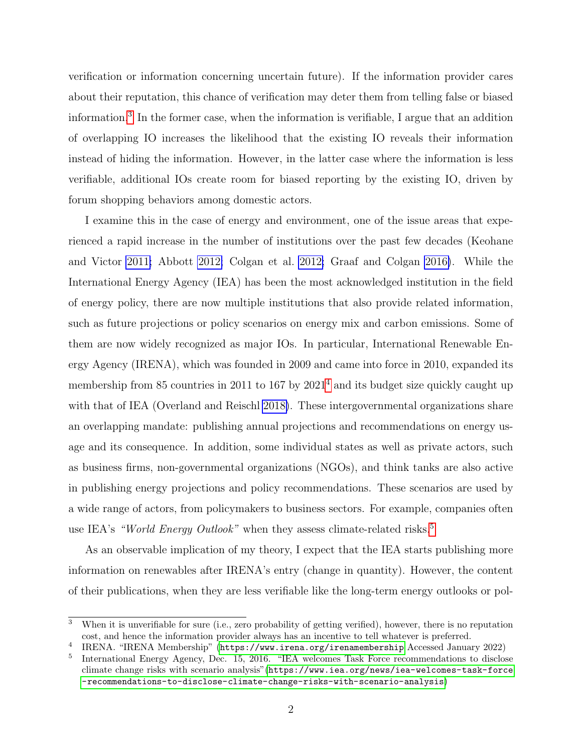verification or information concerning uncertain future). If the information provider cares about their reputation, this chance of verification may deter them from telling false or biased information.[3](#page-0-0) In the former case, when the information is verifiable, I argue that an addition of overlapping IO increases the likelihood that the existing IO reveals their information instead of hiding the information. However, in the latter case where the information is less verifiable, additional IOs create room for biased reporting by the existing IO, driven by forum shopping behaviors among domestic actors.

I examine this in the case of energy and environment, one of the issue areas that experienced a rapid increase in the number of institutions over the past few decades (Keohane and Victor [2011;](#page-28-0) Abbott [2012;](#page-26-0) Colgan et al. [2012;](#page-27-0) Graaf and Colgan [2016\)](#page-27-1). While the International Energy Agency (IEA) has been the most acknowledged institution in the field of energy policy, there are now multiple institutions that also provide related information, such as future projections or policy scenarios on energy mix and carbon emissions. Some of them are now widely recognized as major IOs. In particular, International Renewable Energy Agency (IRENA), which was founded in 2009 and came into force in 2010, expanded its membership from 85 countries in 2011 to 167 by  $2021<sup>4</sup>$  $2021<sup>4</sup>$  $2021<sup>4</sup>$  and its budget size quickly caught up with that of IEA (Overland and Reischl [2018\)](#page-28-1). These intergovernmental organizations share an overlapping mandate: publishing annual projections and recommendations on energy usage and its consequence. In addition, some individual states as well as private actors, such as business firms, non-governmental organizations (NGOs), and think tanks are also active in publishing energy projections and policy recommendations. These scenarios are used by a wide range of actors, from policymakers to business sectors. For example, companies often use IEA's "World Energy Outlook" when they assess climate-related risks.<sup>[5](#page-0-0)</sup>

As an observable implication of my theory, I expect that the IEA starts publishing more information on renewables after IRENA's entry (change in quantity). However, the content of their publications, when they are less verifiable like the long-term energy outlooks or pol-

<sup>&</sup>lt;sup>3</sup> When it is unverifiable for sure (i.e., zero probability of getting verified), however, there is no reputation cost, and hence the information provider always has an incentive to tell whatever is preferred.

<sup>4</sup> IRENA. "IRENA Membership" (<https://www.irena.org/irenamembership> Accessed January 2022)

<sup>5</sup> International Energy Agency, Dec. 15, 2016. "IEA welcomes Task Force recommendations to disclose climate change risks with scenario analysis"([https://www.iea.org/news/iea-welcomes-task-force](https://www.iea.org/news/iea-welcomes-task-force-recommendations-to-disclose-climate-change-risks-with-scenario-analysis) [-recommendations-to-disclose-climate-change-risks-with-scenario-analysis](https://www.iea.org/news/iea-welcomes-task-force-recommendations-to-disclose-climate-change-risks-with-scenario-analysis))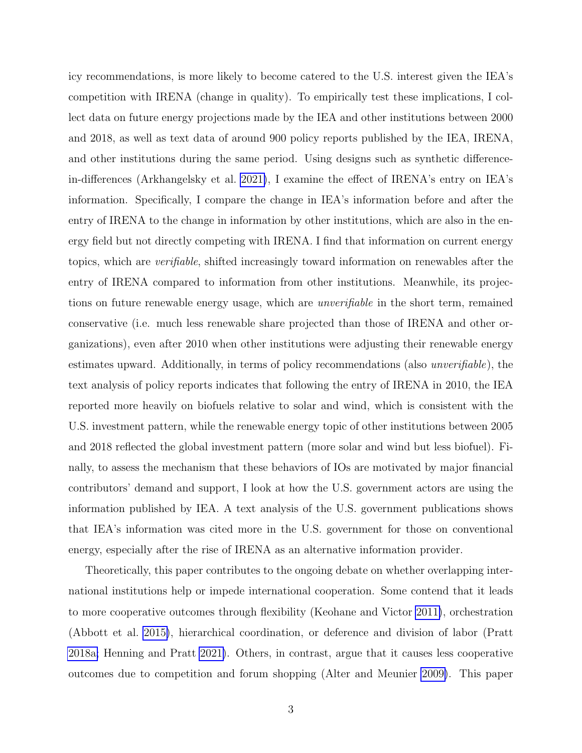icy recommendations, is more likely to become catered to the U.S. interest given the IEA's competition with IRENA (change in quality). To empirically test these implications, I collect data on future energy projections made by the IEA and other institutions between 2000 and 2018, as well as text data of around 900 policy reports published by the IEA, IRENA, and other institutions during the same period. Using designs such as synthetic differencein-differences (Arkhangelsky et al. [2021\)](#page-26-1), I examine the effect of IRENA's entry on IEA's information. Specifically, I compare the change in IEA's information before and after the entry of IRENA to the change in information by other institutions, which are also in the energy field but not directly competing with IRENA. I find that information on current energy topics, which are verifiable, shifted increasingly toward information on renewables after the entry of IRENA compared to information from other institutions. Meanwhile, its projections on future renewable energy usage, which are unverifiable in the short term, remained conservative (i.e. much less renewable share projected than those of IRENA and other organizations), even after 2010 when other institutions were adjusting their renewable energy estimates upward. Additionally, in terms of policy recommendations (also unverifiable), the text analysis of policy reports indicates that following the entry of IRENA in 2010, the IEA reported more heavily on biofuels relative to solar and wind, which is consistent with the U.S. investment pattern, while the renewable energy topic of other institutions between 2005 and 2018 reflected the global investment pattern (more solar and wind but less biofuel). Finally, to assess the mechanism that these behaviors of IOs are motivated by major financial contributors' demand and support, I look at how the U.S. government actors are using the information published by IEA. A text analysis of the U.S. government publications shows that IEA's information was cited more in the U.S. government for those on conventional energy, especially after the rise of IRENA as an alternative information provider.

Theoretically, this paper contributes to the ongoing debate on whether overlapping international institutions help or impede international cooperation. Some contend that it leads to more cooperative outcomes through flexibility (Keohane and Victor [2011\)](#page-28-0), orchestration (Abbott et al. [2015\)](#page-26-2), hierarchical coordination, or deference and division of labor (Pratt [2018a;](#page-28-2) Henning and Pratt [2021\)](#page-28-3). Others, in contrast, argue that it causes less cooperative outcomes due to competition and forum shopping (Alter and Meunier [2009\)](#page-26-3). This paper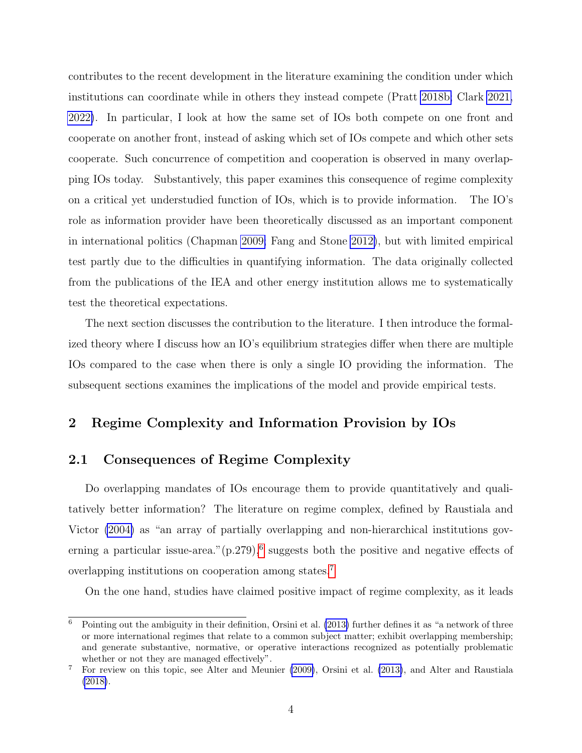contributes to the recent development in the literature examining the condition under which institutions can coordinate while in others they instead compete (Pratt [2018b;](#page-28-4) Clark [2021,](#page-26-4) [2022\)](#page-27-2). In particular, I look at how the same set of IOs both compete on one front and cooperate on another front, instead of asking which set of IOs compete and which other sets cooperate. Such concurrence of competition and cooperation is observed in many overlapping IOs today. Substantively, this paper examines this consequence of regime complexity on a critical yet understudied function of IOs, which is to provide information. The IO's role as information provider have been theoretically discussed as an important component in international politics (Chapman [2009;](#page-26-5) Fang and Stone [2012\)](#page-27-3), but with limited empirical test partly due to the difficulties in quantifying information. The data originally collected from the publications of the IEA and other energy institution allows me to systematically test the theoretical expectations.

The next section discusses the contribution to the literature. I then introduce the formalized theory where I discuss how an IO's equilibrium strategies differ when there are multiple IOs compared to the case when there is only a single IO providing the information. The subsequent sections examines the implications of the model and provide empirical tests.

#### 2 Regime Complexity and Information Provision by IOs

#### 2.1 Consequences of Regime Complexity

Do overlapping mandates of IOs encourage them to provide quantitatively and qualitatively better information? The literature on regime complex, defined by Raustiala and Victor [\(2004\)](#page-28-5) as "an array of partially overlapping and non-hierarchical institutions governing a particular issue-area." $(p.279)$ , suggests both the positive and negative effects of overlapping institutions on cooperation among states.[7](#page-0-0)

On the one hand, studies have claimed positive impact of regime complexity, as it leads

<sup>6</sup> Pointing out the ambiguity in their definition, Orsini et al. [\(2013\)](#page-28-6) further defines it as "a network of three or more international regimes that relate to a common subject matter; exhibit overlapping membership; and generate substantive, normative, or operative interactions recognized as potentially problematic whether or not they are managed effectively".

<sup>7</sup> For review on this topic, see Alter and Meunier [\(2009\)](#page-26-3), Orsini et al. [\(2013\)](#page-28-6), and Alter and Raustiala [\(2018\)](#page-26-6).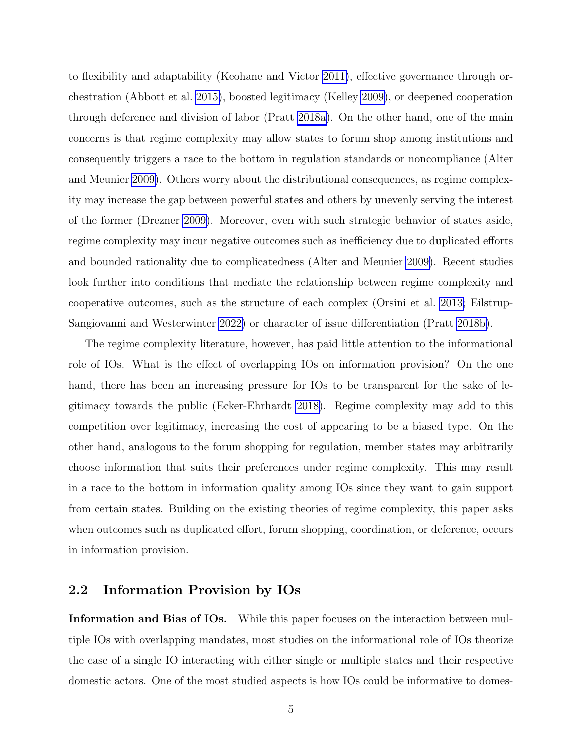to flexibility and adaptability (Keohane and Victor [2011\)](#page-28-0), effective governance through orchestration (Abbott et al. [2015\)](#page-26-2), boosted legitimacy (Kelley [2009\)](#page-28-7), or deepened cooperation through deference and division of labor (Pratt [2018a\)](#page-28-2). On the other hand, one of the main concerns is that regime complexity may allow states to forum shop among institutions and consequently triggers a race to the bottom in regulation standards or noncompliance (Alter and Meunier [2009\)](#page-26-3). Others worry about the distributional consequences, as regime complexity may increase the gap between powerful states and others by unevenly serving the interest of the former (Drezner [2009\)](#page-27-4). Moreover, even with such strategic behavior of states aside, regime complexity may incur negative outcomes such as inefficiency due to duplicated efforts and bounded rationality due to complicatedness (Alter and Meunier [2009\)](#page-26-3). Recent studies look further into conditions that mediate the relationship between regime complexity and cooperative outcomes, such as the structure of each complex (Orsini et al. [2013;](#page-28-6) Eilstrup-Sangiovanni and Westerwinter [2022\)](#page-27-5) or character of issue differentiation (Pratt [2018b\)](#page-28-4).

The regime complexity literature, however, has paid little attention to the informational role of IOs. What is the effect of overlapping IOs on information provision? On the one hand, there has been an increasing pressure for IOs to be transparent for the sake of legitimacy towards the public (Ecker-Ehrhardt [2018\)](#page-27-6). Regime complexity may add to this competition over legitimacy, increasing the cost of appearing to be a biased type. On the other hand, analogous to the forum shopping for regulation, member states may arbitrarily choose information that suits their preferences under regime complexity. This may result in a race to the bottom in information quality among IOs since they want to gain support from certain states. Building on the existing theories of regime complexity, this paper asks when outcomes such as duplicated effort, forum shopping, coordination, or deference, occurs in information provision.

## 2.2 Information Provision by IOs

Information and Bias of IOs. While this paper focuses on the interaction between multiple IOs with overlapping mandates, most studies on the informational role of IOs theorize the case of a single IO interacting with either single or multiple states and their respective domestic actors. One of the most studied aspects is how IOs could be informative to domes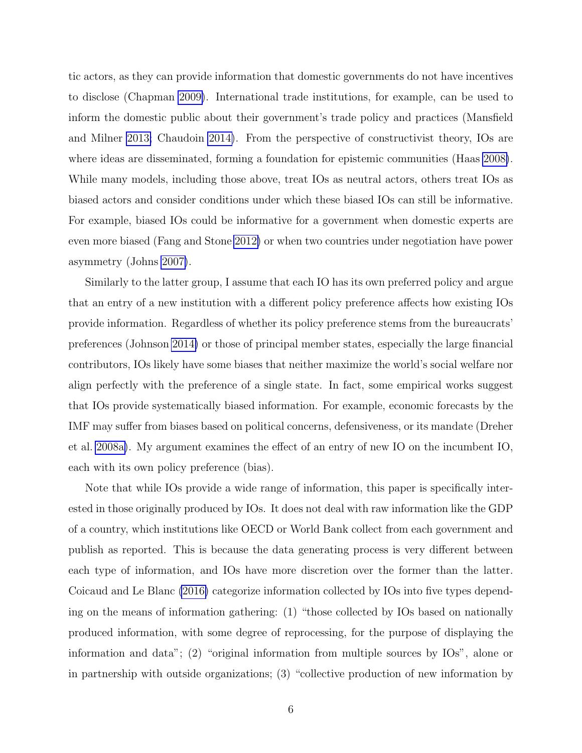tic actors, as they can provide information that domestic governments do not have incentives to disclose (Chapman [2009\)](#page-26-5). International trade institutions, for example, can be used to inform the domestic public about their government's trade policy and practices (Mansfield and Milner [2013;](#page-28-8) Chaudoin [2014\)](#page-26-7). From the perspective of constructivist theory, IOs are where ideas are disseminated, forming a foundation for epistemic communities (Haas [2008\)](#page-27-7). While many models, including those above, treat IOs as neutral actors, others treat IOs as biased actors and consider conditions under which these biased IOs can still be informative. For example, biased IOs could be informative for a government when domestic experts are even more biased (Fang and Stone [2012\)](#page-27-3) or when two countries under negotiation have power asymmetry (Johns [2007\)](#page-28-9).

Similarly to the latter group, I assume that each IO has its own preferred policy and argue that an entry of a new institution with a different policy preference affects how existing IOs provide information. Regardless of whether its policy preference stems from the bureaucrats' preferences (Johnson [2014\)](#page-28-10) or those of principal member states, especially the large financial contributors, IOs likely have some biases that neither maximize the world's social welfare nor align perfectly with the preference of a single state. In fact, some empirical works suggest that IOs provide systematically biased information. For example, economic forecasts by the IMF may suffer from biases based on political concerns, defensiveness, or its mandate (Dreher et al. [2008a\)](#page-27-8). My argument examines the effect of an entry of new IO on the incumbent IO, each with its own policy preference (bias).

Note that while IOs provide a wide range of information, this paper is specifically interested in those originally produced by IOs. It does not deal with raw information like the GDP of a country, which institutions like OECD or World Bank collect from each government and publish as reported. This is because the data generating process is very different between each type of information, and IOs have more discretion over the former than the latter. Coicaud and Le Blanc [\(2016\)](#page-27-9) categorize information collected by IOs into five types depending on the means of information gathering: (1) "those collected by IOs based on nationally produced information, with some degree of reprocessing, for the purpose of displaying the information and data"; (2) "original information from multiple sources by IOs", alone or in partnership with outside organizations; (3) "collective production of new information by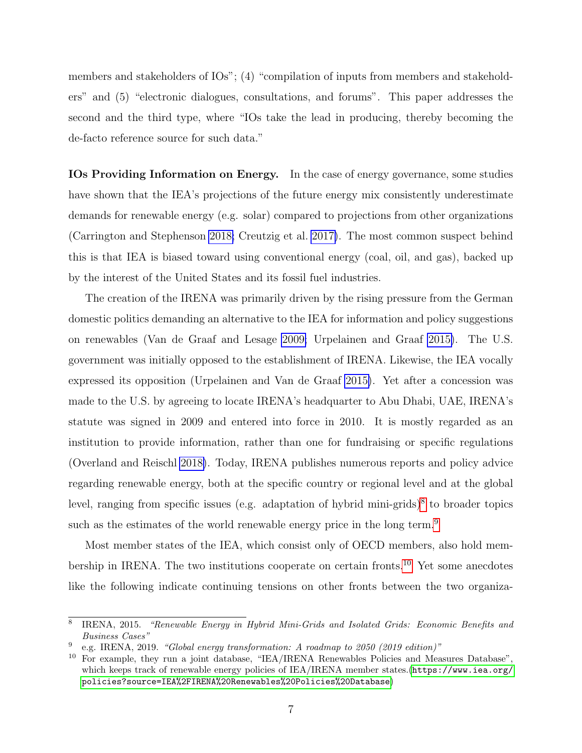members and stakeholders of IOs"; (4) "compilation of inputs from members and stakeholders" and (5) "electronic dialogues, consultations, and forums". This paper addresses the second and the third type, where "IOs take the lead in producing, thereby becoming the de-facto reference source for such data."

IOs Providing Information on Energy. In the case of energy governance, some studies have shown that the IEA's projections of the future energy mix consistently underestimate demands for renewable energy (e.g. solar) compared to projections from other organizations (Carrington and Stephenson [2018;](#page-26-8) Creutzig et al. [2017\)](#page-27-10). The most common suspect behind this is that IEA is biased toward using conventional energy (coal, oil, and gas), backed up by the interest of the United States and its fossil fuel industries.

The creation of the IRENA was primarily driven by the rising pressure from the German domestic politics demanding an alternative to the IEA for information and policy suggestions on renewables (Van de Graaf and Lesage [2009;](#page-29-0) Urpelainen and Graaf [2015\)](#page-29-1). The U.S. government was initially opposed to the establishment of IRENA. Likewise, the IEA vocally expressed its opposition (Urpelainen and Van de Graaf [2015\)](#page-29-2). Yet after a concession was made to the U.S. by agreeing to locate IRENA's headquarter to Abu Dhabi, UAE, IRENA's statute was signed in 2009 and entered into force in 2010. It is mostly regarded as an institution to provide information, rather than one for fundraising or specific regulations (Overland and Reischl [2018\)](#page-28-1). Today, IRENA publishes numerous reports and policy advice regarding renewable energy, both at the specific country or regional level and at the global level, ranging from specific issues (e.g. adaptation of hybrid mini-grids)<sup>[8](#page-0-0)</sup> to broader topics such as the estimates of the world renewable energy price in the long term.<sup>[9](#page-0-0)</sup>

Most member states of the IEA, which consist only of OECD members, also hold membership in IRENA. The two institutions cooperate on certain fronts.[10](#page-0-0) Yet some anecdotes like the following indicate continuing tensions on other fronts between the two organiza-

<sup>8</sup> IRENA, 2015. "Renewable Energy in Hybrid Mini-Grids and Isolated Grids: Economic Benefits and Business Cases"

<sup>9</sup> e.g. IRENA, 2019. "Global energy transformation: A roadmap to 2050 (2019 edition)"

<sup>&</sup>lt;sup>10</sup> For example, they run a joint database, "IEA/IRENA Renewables Policies and Measures Database", which keeps track of renewable energy policies of IEA/IRENA member states.([https://www.iea.org/](https://www.iea.org/policies?source=IEA%2FIRENA%20Renewables%20Policies%20Database) [policies?source=IEA%2FIRENA%20Renewables%20Policies%20Database](https://www.iea.org/policies?source=IEA%2FIRENA%20Renewables%20Policies%20Database))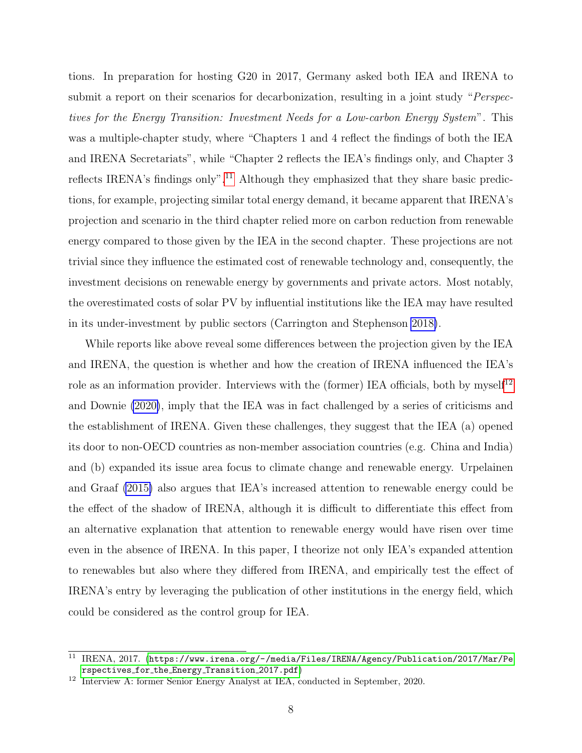tions. In preparation for hosting G20 in 2017, Germany asked both IEA and IRENA to submit a report on their scenarios for decarbonization, resulting in a joint study "Perspectives for the Energy Transition: Investment Needs for a Low-carbon Energy System". This was a multiple-chapter study, where "Chapters 1 and 4 reflect the findings of both the IEA and IRENA Secretariats", while "Chapter 2 reflects the IEA's findings only, and Chapter 3 reflects IRENA's findings only".<sup>[11](#page-0-0)</sup> Although they emphasized that they share basic predictions, for example, projecting similar total energy demand, it became apparent that IRENA's projection and scenario in the third chapter relied more on carbon reduction from renewable energy compared to those given by the IEA in the second chapter. These projections are not trivial since they influence the estimated cost of renewable technology and, consequently, the investment decisions on renewable energy by governments and private actors. Most notably, the overestimated costs of solar PV by influential institutions like the IEA may have resulted in its under-investment by public sectors (Carrington and Stephenson [2018\)](#page-26-8).

While reports like above reveal some differences between the projection given by the IEA and IRENA, the question is whether and how the creation of IRENA influenced the IEA's role as an information provider. Interviews with the (former) IEA officials, both by mysel $f^{12}$  $f^{12}$  $f^{12}$ and Downie [\(2020\)](#page-27-11), imply that the IEA was in fact challenged by a series of criticisms and the establishment of IRENA. Given these challenges, they suggest that the IEA (a) opened its door to non-OECD countries as non-member association countries (e.g. China and India) and (b) expanded its issue area focus to climate change and renewable energy. Urpelainen and Graaf [\(2015\)](#page-29-1) also argues that IEA's increased attention to renewable energy could be the effect of the shadow of IRENA, although it is difficult to differentiate this effect from an alternative explanation that attention to renewable energy would have risen over time even in the absence of IRENA. In this paper, I theorize not only IEA's expanded attention to renewables but also where they differed from IRENA, and empirically test the effect of IRENA's entry by leveraging the publication of other institutions in the energy field, which could be considered as the control group for IEA.

<sup>11</sup> IRENA, 2017. ([https://www.irena.org/-/media/Files/IRENA/Agency/Publication/2017/Mar/Pe](https://www.irena.org/-/media/Files/IRENA/Agency/Publication/2017/Mar/Perspectives_for_the_Energy_Transition_2017.pdf) rspectives for the Energy [Transition](https://www.irena.org/-/media/Files/IRENA/Agency/Publication/2017/Mar/Perspectives_for_the_Energy_Transition_2017.pdf) 2017.pdf)

<sup>12</sup> Interview A: former Senior Energy Analyst at IEA, conducted in September, 2020.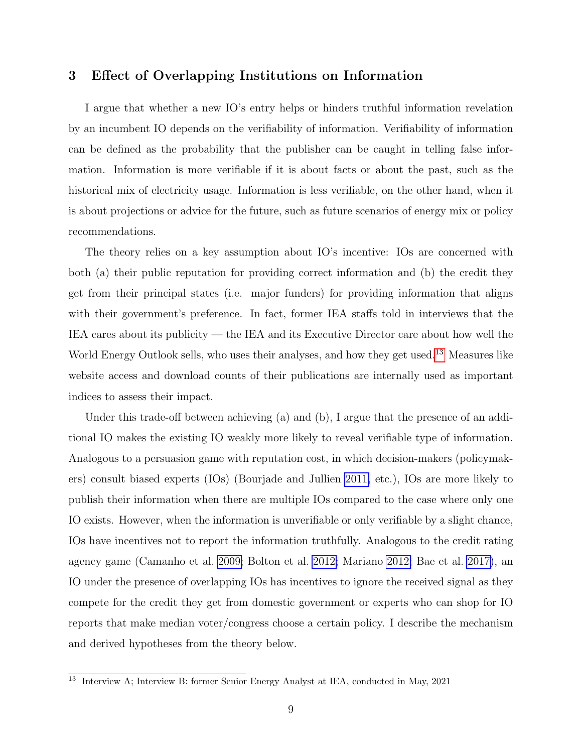#### 3 Effect of Overlapping Institutions on Information

I argue that whether a new IO's entry helps or hinders truthful information revelation by an incumbent IO depends on the verifiability of information. Verifiability of information can be defined as the probability that the publisher can be caught in telling false information. Information is more verifiable if it is about facts or about the past, such as the historical mix of electricity usage. Information is less verifiable, on the other hand, when it is about projections or advice for the future, such as future scenarios of energy mix or policy recommendations.

The theory relies on a key assumption about IO's incentive: IOs are concerned with both (a) their public reputation for providing correct information and (b) the credit they get from their principal states (i.e. major funders) for providing information that aligns with their government's preference. In fact, former IEA staffs told in interviews that the IEA cares about its publicity — the IEA and its Executive Director care about how well the World Energy Outlook sells, who uses their analyses, and how they get used.<sup>[13](#page-0-0)</sup> Measures like website access and download counts of their publications are internally used as important indices to assess their impact.

Under this trade-off between achieving (a) and (b), I argue that the presence of an additional IO makes the existing IO weakly more likely to reveal verifiable type of information. Analogous to a persuasion game with reputation cost, in which decision-makers (policymakers) consult biased experts (IOs) (Bourjade and Jullien [2011,](#page-26-9) etc.), IOs are more likely to publish their information when there are multiple IOs compared to the case where only one IO exists. However, when the information is unverifiable or only verifiable by a slight chance, IOs have incentives not to report the information truthfully. Analogous to the credit rating agency game (Camanho et al. [2009;](#page-26-10) Bolton et al. [2012;](#page-26-11) Mariano [2012;](#page-28-11) Bae et al. [2017\)](#page-26-12), an IO under the presence of overlapping IOs has incentives to ignore the received signal as they compete for the credit they get from domestic government or experts who can shop for IO reports that make median voter/congress choose a certain policy. I describe the mechanism and derived hypotheses from the theory below.

<sup>&</sup>lt;sup>13</sup> Interview A; Interview B: former Senior Energy Analyst at IEA, conducted in May, 2021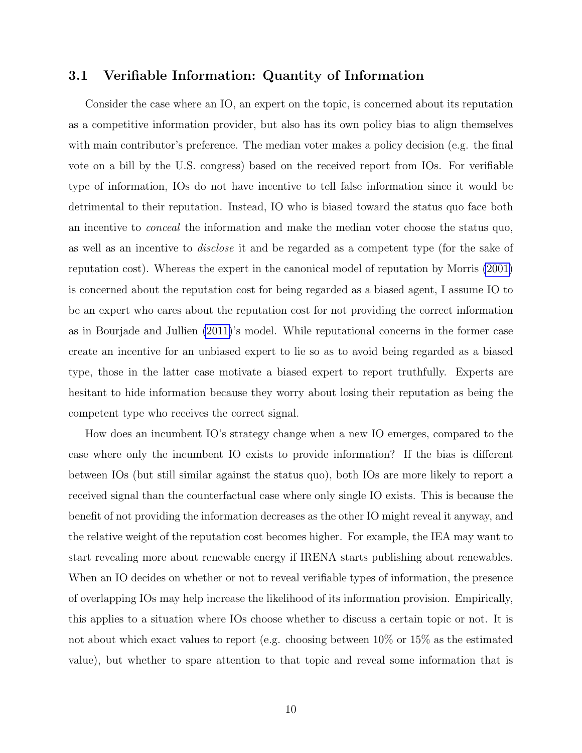#### 3.1 Verifiable Information: Quantity of Information

Consider the case where an IO, an expert on the topic, is concerned about its reputation as a competitive information provider, but also has its own policy bias to align themselves with main contributor's preference. The median voter makes a policy decision (e.g. the final vote on a bill by the U.S. congress) based on the received report from IOs. For verifiable type of information, IOs do not have incentive to tell false information since it would be detrimental to their reputation. Instead, IO who is biased toward the status quo face both an incentive to conceal the information and make the median voter choose the status quo, as well as an incentive to disclose it and be regarded as a competent type (for the sake of reputation cost). Whereas the expert in the canonical model of reputation by Morris [\(2001\)](#page-28-12) is concerned about the reputation cost for being regarded as a biased agent, I assume IO to be an expert who cares about the reputation cost for not providing the correct information as in Bourjade and Jullien [\(2011\)](#page-26-9)'s model. While reputational concerns in the former case create an incentive for an unbiased expert to lie so as to avoid being regarded as a biased type, those in the latter case motivate a biased expert to report truthfully. Experts are hesitant to hide information because they worry about losing their reputation as being the competent type who receives the correct signal.

How does an incumbent IO's strategy change when a new IO emerges, compared to the case where only the incumbent IO exists to provide information? If the bias is different between IOs (but still similar against the status quo), both IOs are more likely to report a received signal than the counterfactual case where only single IO exists. This is because the benefit of not providing the information decreases as the other IO might reveal it anyway, and the relative weight of the reputation cost becomes higher. For example, the IEA may want to start revealing more about renewable energy if IRENA starts publishing about renewables. When an IO decides on whether or not to reveal verifiable types of information, the presence of overlapping IOs may help increase the likelihood of its information provision. Empirically, this applies to a situation where IOs choose whether to discuss a certain topic or not. It is not about which exact values to report (e.g. choosing between 10% or 15% as the estimated value), but whether to spare attention to that topic and reveal some information that is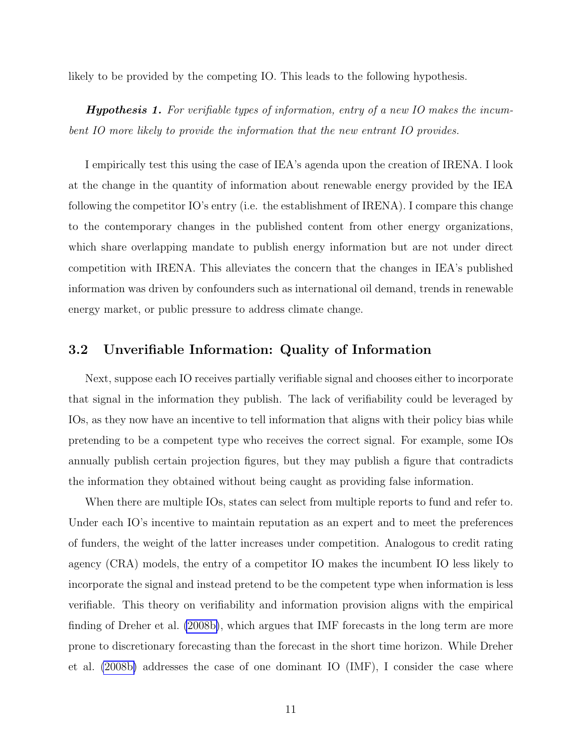likely to be provided by the competing IO. This leads to the following hypothesis.

**Hypothesis 1.** For verifiable types of information, entry of a new IO makes the incumbent IO more likely to provide the information that the new entrant IO provides.

I empirically test this using the case of IEA's agenda upon the creation of IRENA. I look at the change in the quantity of information about renewable energy provided by the IEA following the competitor IO's entry (i.e. the establishment of IRENA). I compare this change to the contemporary changes in the published content from other energy organizations, which share overlapping mandate to publish energy information but are not under direct competition with IRENA. This alleviates the concern that the changes in IEA's published information was driven by confounders such as international oil demand, trends in renewable energy market, or public pressure to address climate change.

#### 3.2 Unverifiable Information: Quality of Information

Next, suppose each IO receives partially verifiable signal and chooses either to incorporate that signal in the information they publish. The lack of verifiability could be leveraged by IOs, as they now have an incentive to tell information that aligns with their policy bias while pretending to be a competent type who receives the correct signal. For example, some IOs annually publish certain projection figures, but they may publish a figure that contradicts the information they obtained without being caught as providing false information.

When there are multiple IOs, states can select from multiple reports to fund and refer to. Under each IO's incentive to maintain reputation as an expert and to meet the preferences of funders, the weight of the latter increases under competition. Analogous to credit rating agency (CRA) models, the entry of a competitor IO makes the incumbent IO less likely to incorporate the signal and instead pretend to be the competent type when information is less verifiable. This theory on verifiability and information provision aligns with the empirical finding of Dreher et al. [\(2008b\)](#page-27-12), which argues that IMF forecasts in the long term are more prone to discretionary forecasting than the forecast in the short time horizon. While Dreher et al. [\(2008b\)](#page-27-12) addresses the case of one dominant IO (IMF), I consider the case where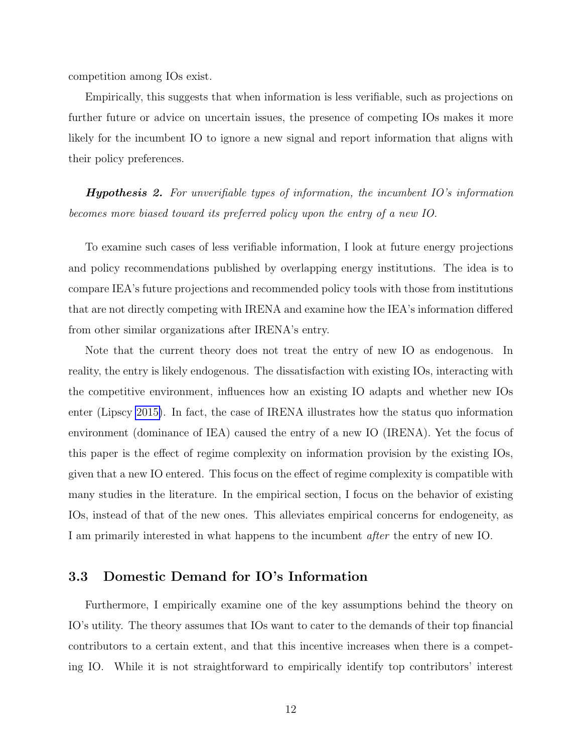competition among IOs exist.

Empirically, this suggests that when information is less verifiable, such as projections on further future or advice on uncertain issues, the presence of competing IOs makes it more likely for the incumbent IO to ignore a new signal and report information that aligns with their policy preferences.

**Hypothesis 2.** For unverifiable types of information, the incumbent  $IO$ 's information becomes more biased toward its preferred policy upon the entry of a new IO.

To examine such cases of less verifiable information, I look at future energy projections and policy recommendations published by overlapping energy institutions. The idea is to compare IEA's future projections and recommended policy tools with those from institutions that are not directly competing with IRENA and examine how the IEA's information differed from other similar organizations after IRENA's entry.

Note that the current theory does not treat the entry of new IO as endogenous. In reality, the entry is likely endogenous. The dissatisfaction with existing IOs, interacting with the competitive environment, influences how an existing IO adapts and whether new IOs enter (Lipscy [2015\)](#page-28-13). In fact, the case of IRENA illustrates how the status quo information environment (dominance of IEA) caused the entry of a new IO (IRENA). Yet the focus of this paper is the effect of regime complexity on information provision by the existing IOs, given that a new IO entered. This focus on the effect of regime complexity is compatible with many studies in the literature. In the empirical section, I focus on the behavior of existing IOs, instead of that of the new ones. This alleviates empirical concerns for endogeneity, as I am primarily interested in what happens to the incumbent after the entry of new IO.

#### 3.3 Domestic Demand for IO's Information

Furthermore, I empirically examine one of the key assumptions behind the theory on IO's utility. The theory assumes that IOs want to cater to the demands of their top financial contributors to a certain extent, and that this incentive increases when there is a competing IO. While it is not straightforward to empirically identify top contributors' interest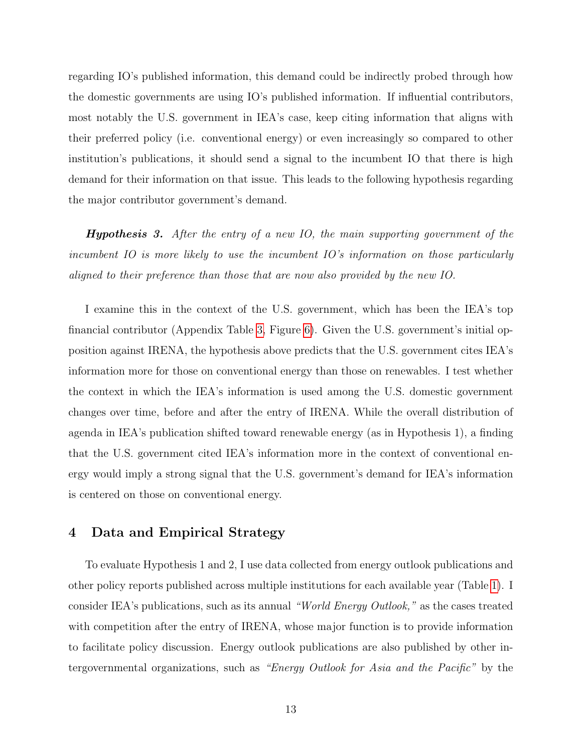regarding IO's published information, this demand could be indirectly probed through how the domestic governments are using IO's published information. If influential contributors, most notably the U.S. government in IEA's case, keep citing information that aligns with their preferred policy (i.e. conventional energy) or even increasingly so compared to other institution's publications, it should send a signal to the incumbent IO that there is high demand for their information on that issue. This leads to the following hypothesis regarding the major contributor government's demand.

**Hypothesis 3.** After the entry of a new IO, the main supporting government of the incumbent IO is more likely to use the incumbent IO's information on those particularly aligned to their preference than those that are now also provided by the new IO.

I examine this in the context of the U.S. government, which has been the IEA's top financial contributor (Appendix Table [3,](#page-29-3) Figure [6\)](#page-30-0). Given the U.S. government's initial opposition against IRENA, the hypothesis above predicts that the U.S. government cites IEA's information more for those on conventional energy than those on renewables. I test whether the context in which the IEA's information is used among the U.S. domestic government changes over time, before and after the entry of IRENA. While the overall distribution of agenda in IEA's publication shifted toward renewable energy (as in Hypothesis 1), a finding that the U.S. government cited IEA's information more in the context of conventional energy would imply a strong signal that the U.S. government's demand for IEA's information is centered on those on conventional energy.

#### 4 Data and Empirical Strategy

To evaluate Hypothesis 1 and 2, I use data collected from energy outlook publications and other policy reports published across multiple institutions for each available year (Table [1\)](#page-16-0). I consider IEA's publications, such as its annual "World Energy Outlook," as the cases treated with competition after the entry of IRENA, whose major function is to provide information to facilitate policy discussion. Energy outlook publications are also published by other intergovernmental organizations, such as "Energy Outlook for Asia and the Pacific" by the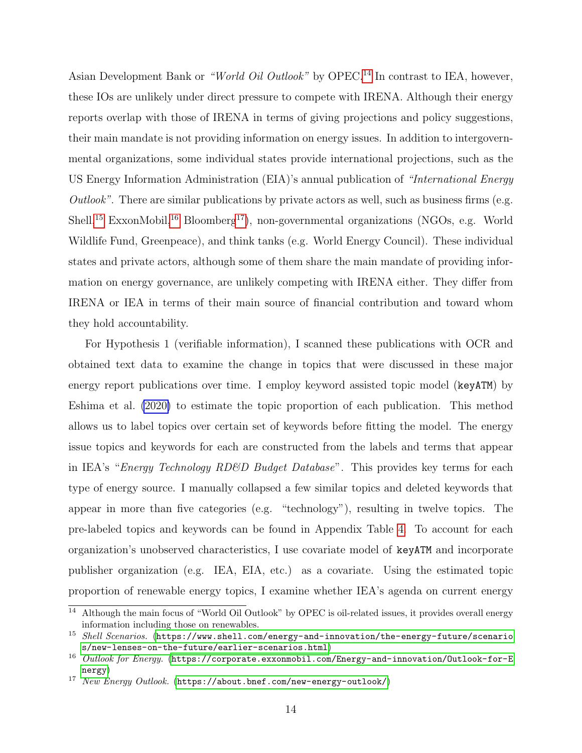Asian Development Bank or "World Oil Outlook" by OPEC.<sup>[14](#page-0-0)</sup> In contrast to IEA, however, these IOs are unlikely under direct pressure to compete with IRENA. Although their energy reports overlap with those of IRENA in terms of giving projections and policy suggestions, their main mandate is not providing information on energy issues. In addition to intergovernmental organizations, some individual states provide international projections, such as the US Energy Information Administration (EIA)'s annual publication of "International Energy Outlook". There are similar publications by private actors as well, such as business firms (e.g. Shell,<sup>[15](#page-0-0)</sup> ExxonMobil,<sup>[16](#page-0-0)</sup> Bloomberg<sup>[17](#page-0-0)</sup>), non-governmental organizations (NGOs, e.g. World Wildlife Fund, Greenpeace), and think tanks (e.g. World Energy Council). These individual states and private actors, although some of them share the main mandate of providing information on energy governance, are unlikely competing with IRENA either. They differ from IRENA or IEA in terms of their main source of financial contribution and toward whom they hold accountability.

For Hypothesis 1 (verifiable information), I scanned these publications with OCR and obtained text data to examine the change in topics that were discussed in these major energy report publications over time. I employ keyword assisted topic model (keyATM) by Eshima et al. [\(2020\)](#page-27-13) to estimate the topic proportion of each publication. This method allows us to label topics over certain set of keywords before fitting the model. The energy issue topics and keywords for each are constructed from the labels and terms that appear in IEA's "Energy Technology RD&D Budget Database". This provides key terms for each type of energy source. I manually collapsed a few similar topics and deleted keywords that appear in more than five categories (e.g. "technology"), resulting in twelve topics. The pre-labeled topics and keywords can be found in Appendix Table [4.](#page-30-1) To account for each organization's unobserved characteristics, I use covariate model of keyATM and incorporate publisher organization (e.g. IEA, EIA, etc.) as a covariate. Using the estimated topic proportion of renewable energy topics, I examine whether IEA's agenda on current energy

<sup>14</sup> Although the main focus of "World Oil Outlook" by OPEC is oil-related issues, it provides overall energy information including those on renewables.

 $15$  Shell Scenarios. ([https://www.shell.com/energy-and-innovation/the-energy-future/scenario](https://www.shell.com/energy-and-innovation/the-energy-future/scenarios/new-lenses-on-the-future/earlier-scenarios.html) [s/new-lenses-on-the-future/earlier-scenarios.html](https://www.shell.com/energy-and-innovation/the-energy-future/scenarios/new-lenses-on-the-future/earlier-scenarios.html))

<sup>&</sup>lt;sup>16</sup> Outlook for Energy. ([https://corporate.exxonmobil.com/Energy-and-innovation/Outlook-for-E](https://corporate.exxonmobil.com/Energy-and-innovation/Outlook-for-Energy) [nergy](https://corporate.exxonmobil.com/Energy-and-innovation/Outlook-for-Energy))

<sup>&</sup>lt;sup>17</sup> New Energy Outlook. (<https://about.bnef.com/new-energy-outlook/>)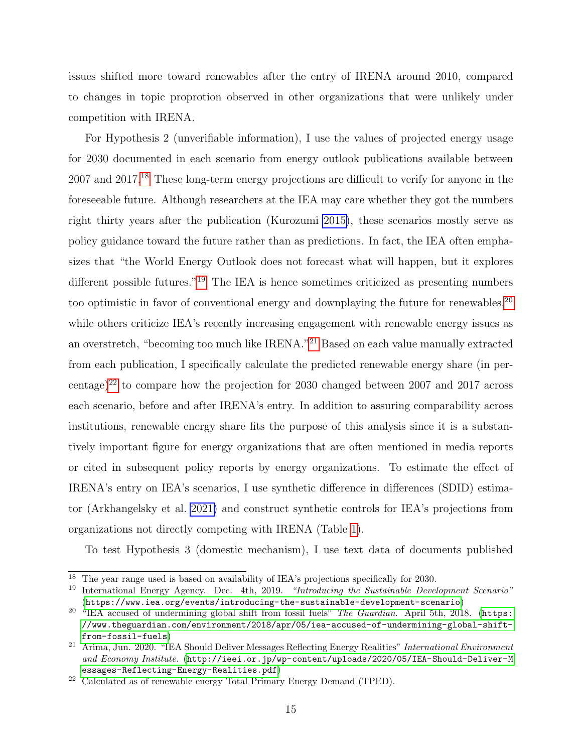issues shifted more toward renewables after the entry of IRENA around 2010, compared to changes in topic proprotion observed in other organizations that were unlikely under competition with IRENA.

For Hypothesis 2 (unverifiable information), I use the values of projected energy usage for 2030 documented in each scenario from energy outlook publications available between 2007 and 2017.[18](#page-0-0) These long-term energy projections are difficult to verify for anyone in the foreseeable future. Although researchers at the IEA may care whether they got the numbers right thirty years after the publication (Kurozumi [2015\)](#page-28-14), these scenarios mostly serve as policy guidance toward the future rather than as predictions. In fact, the IEA often emphasizes that "the World Energy Outlook does not forecast what will happen, but it explores different possible futures."[19](#page-0-0) The IEA is hence sometimes criticized as presenting numbers too optimistic in favor of conventional energy and downplaying the future for renewables,<sup>[20](#page-0-0)</sup> while others criticize IEA's recently increasing engagement with renewable energy issues as an overstretch, "becoming too much like IRENA."[21](#page-0-0) Based on each value manually extracted from each publication, I specifically calculate the predicted renewable energy share (in per-centage)<sup>[22](#page-0-0)</sup> to compare how the projection for 2030 changed between 2007 and 2017 across each scenario, before and after IRENA's entry. In addition to assuring comparability across institutions, renewable energy share fits the purpose of this analysis since it is a substantively important figure for energy organizations that are often mentioned in media reports or cited in subsequent policy reports by energy organizations. To estimate the effect of IRENA's entry on IEA's scenarios, I use synthetic difference in differences (SDID) estimator (Arkhangelsky et al. [2021\)](#page-26-1) and construct synthetic controls for IEA's projections from organizations not directly competing with IRENA (Table [1\)](#page-16-0).

To test Hypothesis 3 (domestic mechanism), I use text data of documents published

<sup>18</sup> The year range used is based on availability of IEA's projections specifically for 2030.

<sup>&</sup>lt;sup>19</sup> International Energy Agency. Dec. 4th, 2019. "Introducing the Sustainable Development Scenario" (<https://www.iea.org/events/introducing-the-sustainable-development-scenario>)

<sup>&</sup>lt;sup>20</sup> "IEA accused of undermining global shift from fossil fuels" *The Guardian*. April 5th, 2018. ([https:](https://www.theguardian.com/environment/2018/apr/05/iea-accused-of-undermining-global-shift-from-fossil-fuels) [//www.theguardian.com/environment/2018/apr/05/iea-accused-of-undermining-global-shift](https://www.theguardian.com/environment/2018/apr/05/iea-accused-of-undermining-global-shift-from-fossil-fuels)[from-fossil-fuels](https://www.theguardian.com/environment/2018/apr/05/iea-accused-of-undermining-global-shift-from-fossil-fuels))

<sup>21</sup> Arima, Jun. 2020. "IEA Should Deliver Messages Reflecting Energy Realities" International Environment and Economy Institute. ([http://ieei.or.jp/wp-content/uploads/2020/05/IEA-Should-Deliver-M](http://ieei.or.jp/wp-content/uploads/2020/05/IEA-Should-Deliver-Messages-Reflecting-Energy-Realities.pdf) [essages-Reflecting-Energy-Realities.pdf](http://ieei.or.jp/wp-content/uploads/2020/05/IEA-Should-Deliver-Messages-Reflecting-Energy-Realities.pdf))

<sup>22</sup> Calculated as of renewable energy Total Primary Energy Demand (TPED).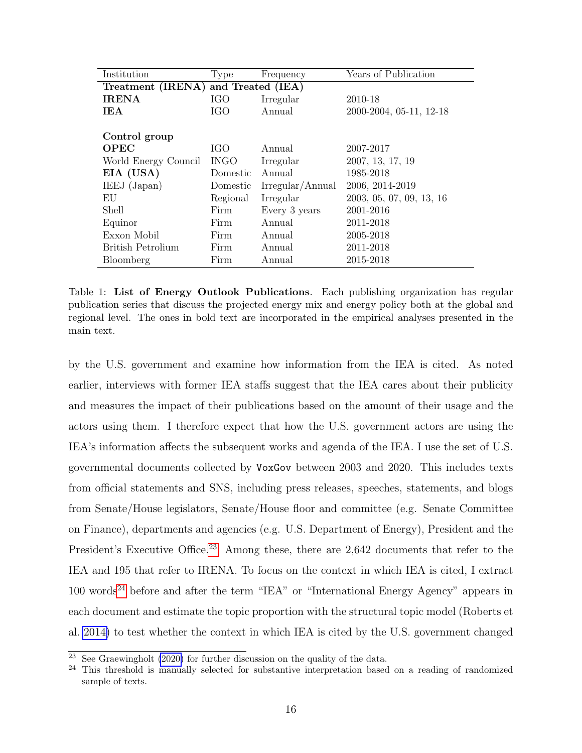<span id="page-16-0"></span>

| Institution                         | Type        | Frequency        | Years of Publication     |  |  |  |
|-------------------------------------|-------------|------------------|--------------------------|--|--|--|
| Treatment (IRENA) and Treated (IEA) |             |                  |                          |  |  |  |
| <b>IRENA</b>                        | IGO         | Irregular        | 2010-18                  |  |  |  |
| <b>IEA</b>                          | <b>IGO</b>  | Annual           | 2000-2004, 05-11, 12-18  |  |  |  |
|                                     |             |                  |                          |  |  |  |
| Control group                       |             |                  |                          |  |  |  |
| <b>OPEC</b>                         | IGO.        | Annual           | 2007-2017                |  |  |  |
| World Energy Council                | <b>INGO</b> | Irregular        | 2007, 13, 17, 19         |  |  |  |
| EIA (USA)                           | Domestic    | Annual           | 1985-2018                |  |  |  |
| IEEJ (Japan)                        | Domestic    | Irregular/Annual | 2006, 2014-2019          |  |  |  |
| EU                                  | Regional    | Irregular        | 2003, 05, 07, 09, 13, 16 |  |  |  |
| Shell                               | Firm        | Every 3 years    | 2001-2016                |  |  |  |
| Equinor                             | Firm        | Annual           | 2011-2018                |  |  |  |
| Exxon Mobil                         | Firm        | Annual           | 2005-2018                |  |  |  |
| British Petrolium                   | Firm        | Annual           | 2011-2018                |  |  |  |
| Bloomberg                           | Firm        | Annual           | 2015-2018                |  |  |  |

Table 1: List of Energy Outlook Publications. Each publishing organization has regular publication series that discuss the projected energy mix and energy policy both at the global and regional level. The ones in bold text are incorporated in the empirical analyses presented in the main text.

by the U.S. government and examine how information from the IEA is cited. As noted earlier, interviews with former IEA staffs suggest that the IEA cares about their publicity and measures the impact of their publications based on the amount of their usage and the actors using them. I therefore expect that how the U.S. government actors are using the IEA's information affects the subsequent works and agenda of the IEA. I use the set of U.S. governmental documents collected by VoxGov between 2003 and 2020. This includes texts from official statements and SNS, including press releases, speeches, statements, and blogs from Senate/House legislators, Senate/House floor and committee (e.g. Senate Committee on Finance), departments and agencies (e.g. U.S. Department of Energy), President and the President's Executive Office.<sup>[23](#page-0-0)</sup> Among these, there are 2,642 documents that refer to the IEA and 195 that refer to IRENA. To focus on the context in which IEA is cited, I extract  $100$  words<sup>[24](#page-0-0)</sup> before and after the term "IEA" or "International Energy Agency" appears in each document and estimate the topic proportion with the structural topic model (Roberts et al. [2014\)](#page-29-4) to test whether the context in which IEA is cited by the U.S. government changed

 $\frac{23}{23}$  See Graewingholt [\(2020\)](#page-27-14) for further discussion on the quality of the data.

<sup>&</sup>lt;sup>24</sup> This threshold is manually selected for substantive interpretation based on a reading of randomized sample of texts.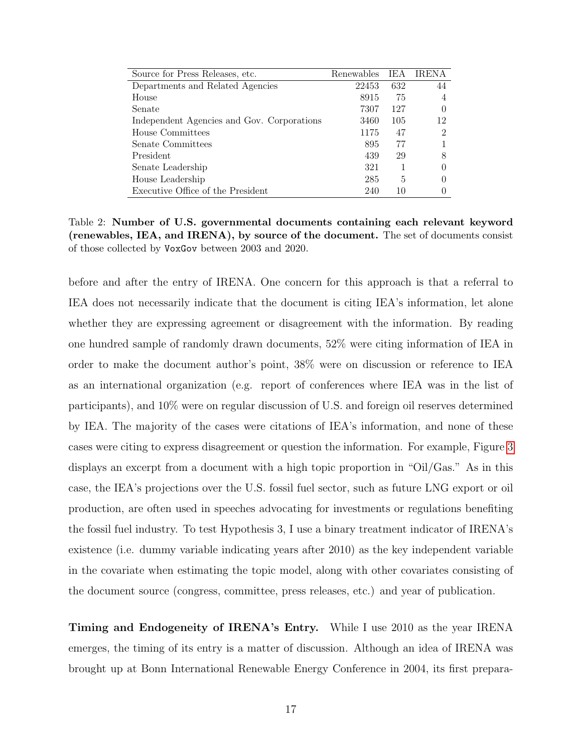| Source for Press Releases, etc.            | Renewables | IEA | <b>IRENA</b> |
|--------------------------------------------|------------|-----|--------------|
| Departments and Related Agencies           | 22453      | 632 | 44           |
| House                                      | 8915       | 75  |              |
| Senate                                     | 7307       | 127 |              |
| Independent Agencies and Gov. Corporations | 3460       | 105 | 12           |
| House Committees                           | 1175       | 47  | റ            |
| Senate Committees                          | 895        | 77  |              |
| President                                  | 439        | 29  |              |
| Senate Leadership                          | 321        |     |              |
| House Leadership                           | 285        | 5   |              |
| Executive Office of the President          | 240        | 10  |              |

Table 2: Number of U.S. governmental documents containing each relevant keyword (renewables, IEA, and IRENA), by source of the document. The set of documents consist of those collected by VoxGov between 2003 and 2020.

before and after the entry of IRENA. One concern for this approach is that a referral to IEA does not necessarily indicate that the document is citing IEA's information, let alone whether they are expressing agreement or disagreement with the information. By reading one hundred sample of randomly drawn documents, 52% were citing information of IEA in order to make the document author's point, 38% were on discussion or reference to IEA as an international organization (e.g. report of conferences where IEA was in the list of participants), and 10% were on regular discussion of U.S. and foreign oil reserves determined by IEA. The majority of the cases were citations of IEA's information, and none of these cases were citing to express disagreement or question the information. For example, Figure [3](#page-22-0) displays an excerpt from a document with a high topic proportion in "Oil/Gas." As in this case, the IEA's projections over the U.S. fossil fuel sector, such as future LNG export or oil production, are often used in speeches advocating for investments or regulations benefiting the fossil fuel industry. To test Hypothesis 3, I use a binary treatment indicator of IRENA's existence (i.e. dummy variable indicating years after 2010) as the key independent variable in the covariate when estimating the topic model, along with other covariates consisting of the document source (congress, committee, press releases, etc.) and year of publication.

Timing and Endogeneity of IRENA's Entry. While I use 2010 as the year IRENA emerges, the timing of its entry is a matter of discussion. Although an idea of IRENA was brought up at Bonn International Renewable Energy Conference in 2004, its first prepara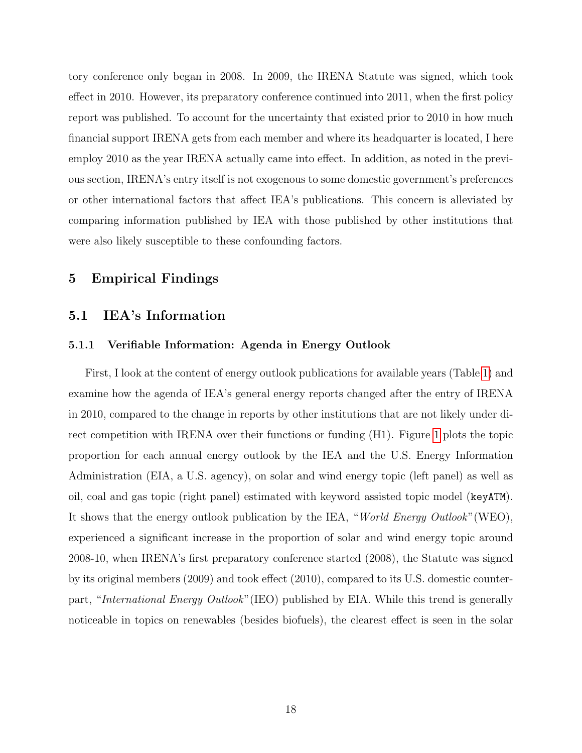tory conference only began in 2008. In 2009, the IRENA Statute was signed, which took effect in 2010. However, its preparatory conference continued into 2011, when the first policy report was published. To account for the uncertainty that existed prior to 2010 in how much financial support IRENA gets from each member and where its headquarter is located, I here employ 2010 as the year IRENA actually came into effect. In addition, as noted in the previous section, IRENA's entry itself is not exogenous to some domestic government's preferences or other international factors that affect IEA's publications. This concern is alleviated by comparing information published by IEA with those published by other institutions that were also likely susceptible to these confounding factors.

#### 5 Empirical Findings

#### 5.1 IEA's Information

#### 5.1.1 Verifiable Information: Agenda in Energy Outlook

First, I look at the content of energy outlook publications for available years (Table [1\)](#page-16-0) and examine how the agenda of IEA's general energy reports changed after the entry of IRENA in 2010, compared to the change in reports by other institutions that are not likely under direct competition with IRENA over their functions or funding (H1). Figure [1](#page-19-0) plots the topic proportion for each annual energy outlook by the IEA and the U.S. Energy Information Administration (EIA, a U.S. agency), on solar and wind energy topic (left panel) as well as oil, coal and gas topic (right panel) estimated with keyword assisted topic model (keyATM). It shows that the energy outlook publication by the IEA, "World Energy Outlook"(WEO), experienced a significant increase in the proportion of solar and wind energy topic around 2008-10, when IRENA's first preparatory conference started (2008), the Statute was signed by its original members (2009) and took effect (2010), compared to its U.S. domestic counterpart, "International Energy Outlook"(IEO) published by EIA. While this trend is generally noticeable in topics on renewables (besides biofuels), the clearest effect is seen in the solar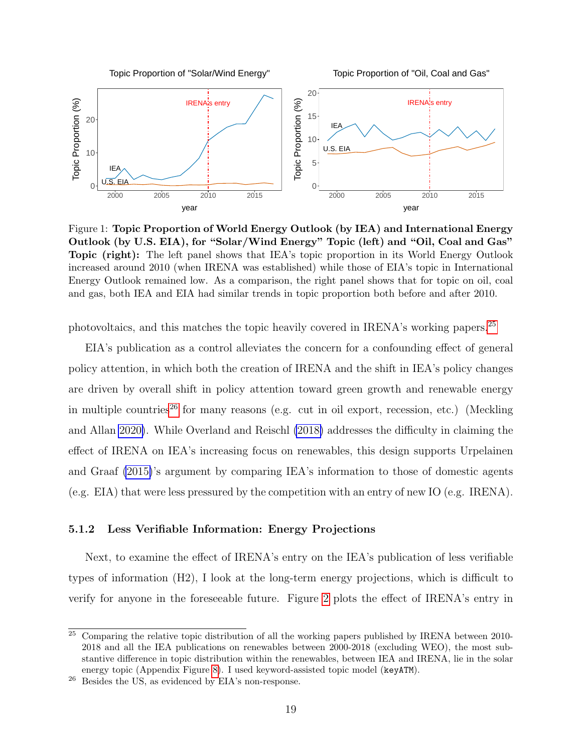<span id="page-19-0"></span>

Figure 1: Topic Proportion of World Energy Outlook (by IEA) and International Energy Outlook (by U.S. EIA), for "Solar/Wind Energy" Topic (left) and "Oil, Coal and Gas" Topic (right): The left panel shows that IEA's topic proportion in its World Energy Outlook increased around 2010 (when IRENA was established) while those of EIA's topic in International Energy Outlook remained low. As a comparison, the right panel shows that for topic on oil, coal and gas, both IEA and EIA had similar trends in topic proportion both before and after 2010.

photovoltaics, and this matches the topic heavily covered in IRENA's working papers.<sup>[25](#page-0-0)</sup>

EIA's publication as a control alleviates the concern for a confounding effect of general policy attention, in which both the creation of IRENA and the shift in IEA's policy changes are driven by overall shift in policy attention toward green growth and renewable energy in multiple countries<sup>[26](#page-0-0)</sup> for many reasons (e.g. cut in oil export, recession, etc.) (Meckling and Allan [2020\)](#page-28-15). While Overland and Reischl [\(2018\)](#page-28-1) addresses the difficulty in claiming the effect of IRENA on IEA's increasing focus on renewables, this design supports Urpelainen and Graaf [\(2015\)](#page-29-1)'s argument by comparing IEA's information to those of domestic agents (e.g. EIA) that were less pressured by the competition with an entry of new IO (e.g. IRENA).

#### 5.1.2 Less Verifiable Information: Energy Projections

Next, to examine the effect of IRENA's entry on the IEA's publication of less verifiable types of information (H2), I look at the long-term energy projections, which is difficult to verify for anyone in the foreseeable future. Figure [2](#page-20-0) plots the effect of IRENA's entry in

 $25$  Comparing the relative topic distribution of all the working papers published by IRENA between 2010-2018 and all the IEA publications on renewables between 2000-2018 (excluding WEO), the most substantive difference in topic distribution within the renewables, between IEA and IRENA, lie in the solar energy topic (Appendix Figure [8\)](#page-32-0). I used keyword-assisted topic model (keyATM).

<sup>26</sup> Besides the US, as evidenced by EIA's non-response.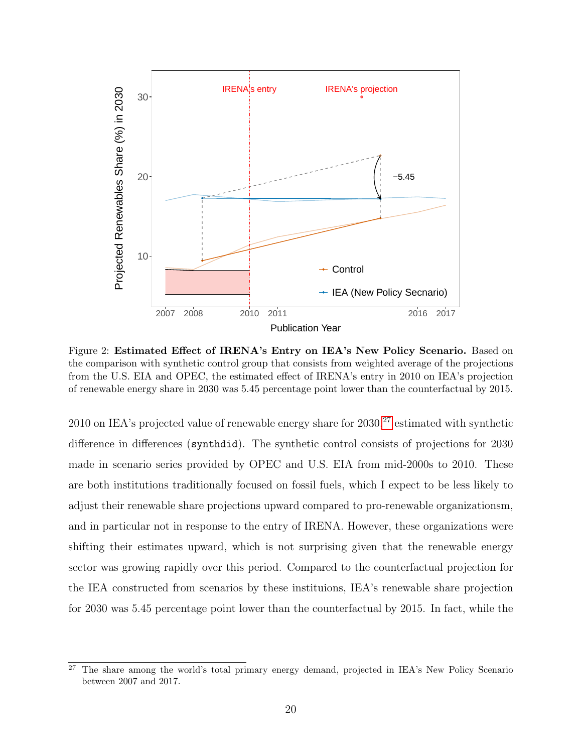<span id="page-20-0"></span>

Figure 2: Estimated Effect of IRENA's Entry on IEA's New Policy Scenario. Based on the comparison with synthetic control group that consists from weighted average of the projections from the U.S. EIA and OPEC, the estimated effect of IRENA's entry in 2010 on IEA's projection of renewable energy share in 2030 was 5.45 percentage point lower than the counterfactual by 2015.

2010 on IEA's projected value of renewable energy share for  $2030$ ,  $27$  estimated with synthetic difference in differences (synthdid). The synthetic control consists of projections for 2030 made in scenario series provided by OPEC and U.S. EIA from mid-2000s to 2010. These are both institutions traditionally focused on fossil fuels, which I expect to be less likely to adjust their renewable share projections upward compared to pro-renewable organizationsm, and in particular not in response to the entry of IRENA. However, these organizations were shifting their estimates upward, which is not surprising given that the renewable energy sector was growing rapidly over this period. Compared to the counterfactual projection for the IEA constructed from scenarios by these instituions, IEA's renewable share projection for 2030 was 5.45 percentage point lower than the counterfactual by 2015. In fact, while the

<sup>&</sup>lt;sup>27</sup> The share among the world's total primary energy demand, projected in IEA's New Policy Scenario between 2007 and 2017.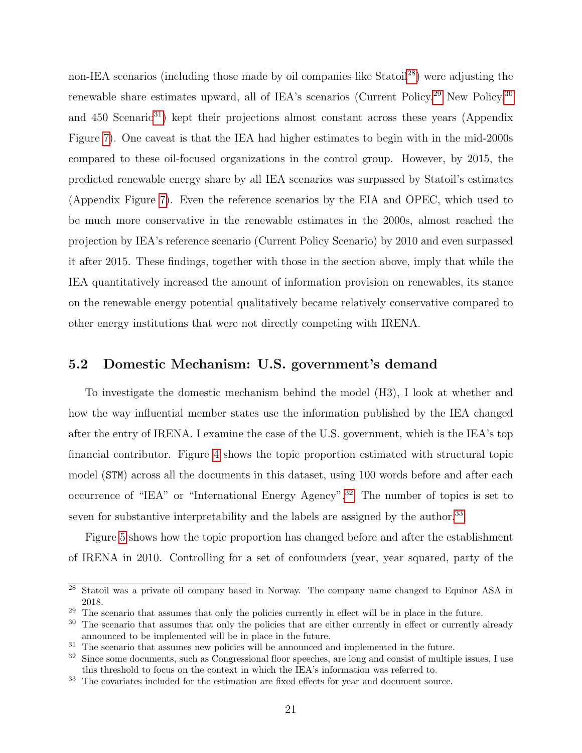non-IEA scenarios (including those made by oil companies like Statoil<sup>[28](#page-0-0)</sup>) were adjusting the renewable share estimates upward, all of IEA's scenarios (Current Policy,  $29$  New Policy,  $30$ and  $450$  Scenario<sup>[31](#page-0-0)</sup>) kept their projections almost constant across these years (Appendix Figure [7\)](#page-31-0). One caveat is that the IEA had higher estimates to begin with in the mid-2000s compared to these oil-focused organizations in the control group. However, by 2015, the predicted renewable energy share by all IEA scenarios was surpassed by Statoil's estimates (Appendix Figure [7\)](#page-31-0). Even the reference scenarios by the EIA and OPEC, which used to be much more conservative in the renewable estimates in the 2000s, almost reached the projection by IEA's reference scenario (Current Policy Scenario) by 2010 and even surpassed it after 2015. These findings, together with those in the section above, imply that while the IEA quantitatively increased the amount of information provision on renewables, its stance on the renewable energy potential qualitatively became relatively conservative compared to other energy institutions that were not directly competing with IRENA.

#### 5.2 Domestic Mechanism: U.S. government's demand

To investigate the domestic mechanism behind the model (H3), I look at whether and how the way influential member states use the information published by the IEA changed after the entry of IRENA. I examine the case of the U.S. government, which is the IEA's top financial contributor. Figure [4](#page-22-1) shows the topic proportion estimated with structural topic model (STM) across all the documents in this dataset, using 100 words before and after each occurrence of "IEA" or "International Energy Agency".<sup>[32](#page-0-0)</sup> The number of topics is set to seven for substantive interpretability and the labels are assigned by the author.<sup>[33](#page-0-0)</sup>

Figure [5](#page-24-0) shows how the topic proportion has changed before and after the establishment of IRENA in 2010. Controlling for a set of confounders (year, year squared, party of the

<sup>28</sup> Statoil was a private oil company based in Norway. The company name changed to Equinor ASA in 2018.

<sup>&</sup>lt;sup>29</sup> The scenario that assumes that only the policies currently in effect will be in place in the future.

<sup>&</sup>lt;sup>30</sup> The scenario that assumes that only the policies that are either currently in effect or currently already announced to be implemented will be in place in the future.

<sup>&</sup>lt;sup>31</sup> The scenario that assumes new policies will be announced and implemented in the future.

<sup>&</sup>lt;sup>32</sup> Since some documents, such as Congressional floor speeches, are long and consist of multiple issues, I use this threshold to focus on the context in which the IEA's information was referred to.

<sup>&</sup>lt;sup>33</sup> The covariates included for the estimation are fixed effects for year and document source.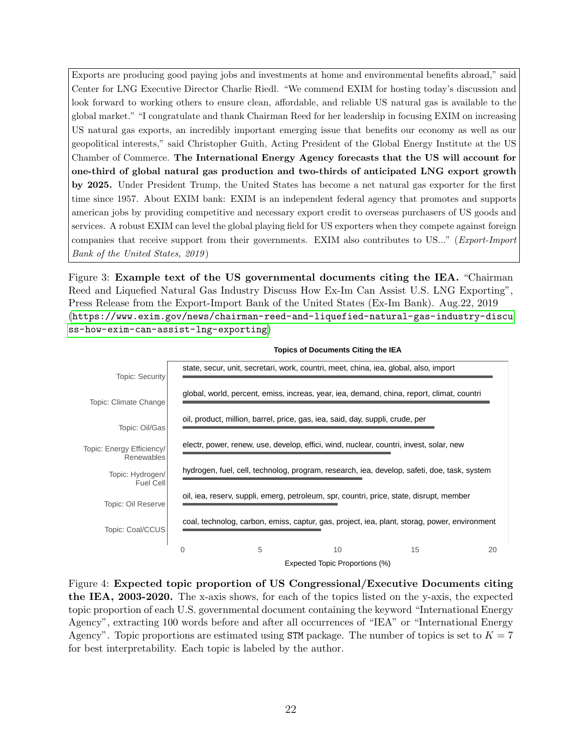<span id="page-22-0"></span>Exports are producing good paying jobs and investments at home and environmental benefits abroad," said Center for LNG Executive Director Charlie Riedl. "We commend EXIM for hosting today's discussion and look forward to working others to ensure clean, affordable, and reliable US natural gas is available to the global market." "I congratulate and thank Chairman Reed for her leadership in focusing EXIM on increasing US natural gas exports, an incredibly important emerging issue that benefits our economy as well as our geopolitical interests," said Christopher Guith, Acting President of the Global Energy Institute at the US Chamber of Commerce. The International Energy Agency forecasts that the US will account for one-third of global natural gas production and two-thirds of anticipated LNG export growth by 2025. Under President Trump, the United States has become a net natural gas exporter for the first time since 1957. About EXIM bank: EXIM is an independent federal agency that promotes and supports american jobs by providing competitive and necessary export credit to overseas purchasers of US goods and services. A robust EXIM can level the global playing field for US exporters when they compete against foreign companies that receive support from their governments. EXIM also contributes to US..." (Export-Import Bank of the United States, 2019 )

Figure 3: Example text of the US governmental documents citing the IEA. "Chairman Reed and Liquefied Natural Gas Industry Discuss How Ex-Im Can Assist U.S. LNG Exporting", Press Release from the Export-Import Bank of the United States (Ex-Im Bank). Aug.22, 2019 ([https://www.exim.gov/news/chairman-reed-and-liquefied-natural-gas-industry-discu](https://www.exim.gov/news/chairman-reed-and-liquefied-natural-gas-industry-discuss-how-exim-can-assist-lng-exporting) [ss-how-exim-can-assist-lng-exporting](https://www.exim.gov/news/chairman-reed-and-liquefied-natural-gas-industry-discuss-how-exim-can-assist-lng-exporting))

<span id="page-22-1"></span>

**Topics of Documents Citing the IEA**

Figure 4: Expected topic proportion of US Congressional/Executive Documents citing the IEA, 2003-2020. The x-axis shows, for each of the topics listed on the y-axis, the expected topic proportion of each U.S. governmental document containing the keyword "International Energy Agency", extracting 100 words before and after all occurrences of "IEA" or "International Energy Agency". Topic proportions are estimated using STM package. The number of topics is set to  $K = 7$ for best interpretability. Each topic is labeled by the author.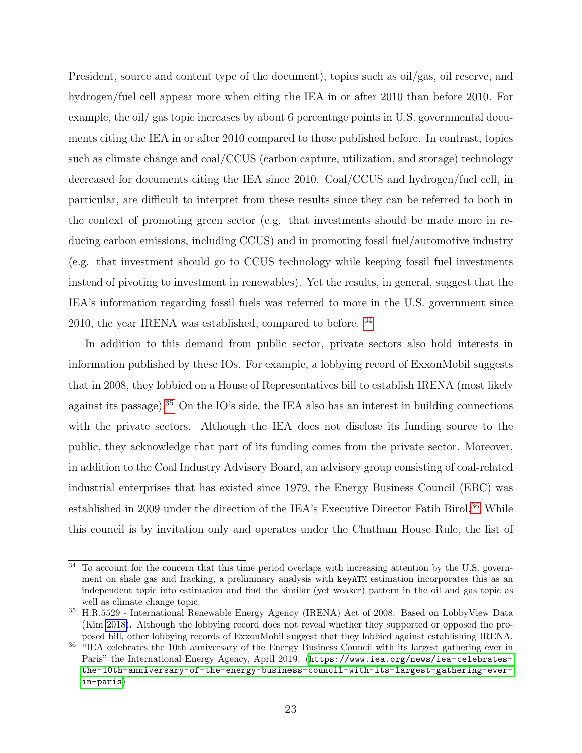President, source and content type of the document), topics such as oil/gas, oil reserve, and hydrogen/fuel cell appear more when citing the IEA in or after 2010 than before 2010. For example, the oil/ gas topic increases by about 6 percentage points in U.S. governmental documents citing the IEA in or after 2010 compared to those published before. In contrast, topics such as climate change and coal/CCUS (carbon capture, utilization, and storage) technology decreased for documents citing the IEA since 2010. Coal/CCUS and hydrogen/fuel cell, in particular, are difficult to interpret from these results since they can be referred to both in the context of promoting green sector (e.g. that investments should be made more in reducing carbon emissions, including CCUS) and in promoting fossil fuel/automotive industry (e.g. that investment should go to CCUS technology while keeping fossil fuel investments instead of pivoting to investment in renewables). Yet the results, in general, suggest that the IEA's information regarding fossil fuels was referred to more in the U.S. government since 2010, the year IRENA was established, compared to before. [34](#page-0-0)

In addition to this demand from public sector, private sectors also hold interests in information published by these IOs. For example, a lobbying record of ExxonMobil suggests that in 2008, they lobbied on a House of Representatives bill to establish IRENA (most likely against its passage).[35](#page-0-0) On the IO's side, the IEA also has an interest in building connections with the private sectors. Although the IEA does not disclose its funding source to the public, they acknowledge that part of its funding comes from the private sector. Moreover, in addition to the Coal Industry Advisory Board, an advisory group consisting of coal-related industrial enterprises that has existed since 1979, the Energy Business Council (EBC) was established in 2009 under the direction of the IEA's Executive Director Fatih Birol.<sup>[36](#page-0-0)</sup> While this council is by invitation only and operates under the Chatham House Rule, the list of

<sup>&</sup>lt;sup>34</sup> To account for the concern that this time period overlaps with increasing attention by the U.S. government on shale gas and fracking, a preliminary analysis with keyATM estimation incorporates this as an independent topic into estimation and find the similar (yet weaker) pattern in the oil and gas topic as well as climate change topic.

<sup>35</sup> H.R.5529 - International Renewable Energy Agency (IRENA) Act of 2008. Based on LobbyView Data (Kim [2018\)](#page-28-16). Although the lobbying record does not reveal whether they supported or opposed the proposed bill, other lobbying records of ExxonMobil suggest that they lobbied against establishing IRENA.

<sup>&</sup>lt;sup>36</sup> "IEA celebrates the 10th anniversary of the Energy Business Council with its largest gathering ever in Paris" the International Energy Agency, April 2019. ([https://www.iea.org/news/iea-celebrates](https://www.iea.org/news/iea-celebrates-the-10th-anniversary-of-the-energy-business-council-with-its-largest-gathering-ever-in-paris)[the-10th-anniversary-of-the-energy-business-council-with-its-largest-gathering-ever](https://www.iea.org/news/iea-celebrates-the-10th-anniversary-of-the-energy-business-council-with-its-largest-gathering-ever-in-paris)[in-paris](https://www.iea.org/news/iea-celebrates-the-10th-anniversary-of-the-energy-business-council-with-its-largest-gathering-ever-in-paris))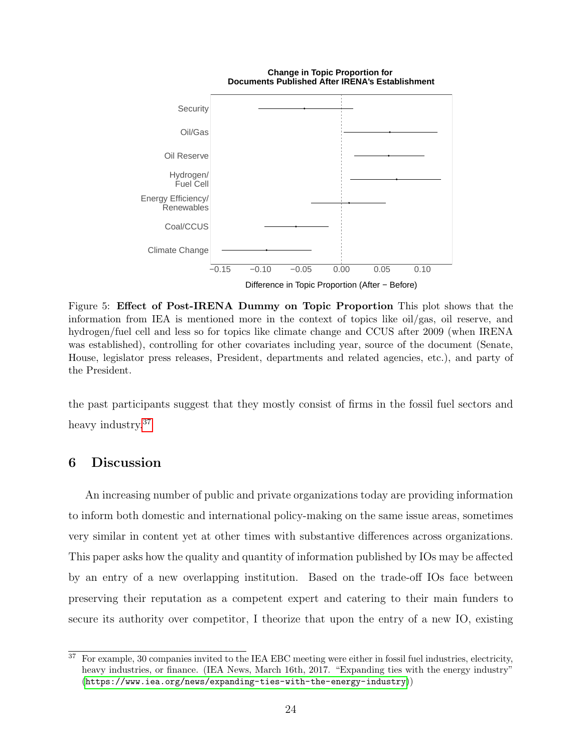<span id="page-24-0"></span>

**Change in Topic Proportion for Documents Published After IRENA's Establishment**

Figure 5: Effect of Post-IRENA Dummy on Topic Proportion This plot shows that the information from IEA is mentioned more in the context of topics like oil/gas, oil reserve, and hydrogen/fuel cell and less so for topics like climate change and CCUS after 2009 (when IRENA was established), controlling for other covariates including year, source of the document (Senate, House, legislator press releases, President, departments and related agencies, etc.), and party of the President.

the past participants suggest that they mostly consist of firms in the fossil fuel sectors and heavy industry.<sup>[37](#page-0-0)</sup>

## 6 Discussion

An increasing number of public and private organizations today are providing information to inform both domestic and international policy-making on the same issue areas, sometimes very similar in content yet at other times with substantive differences across organizations. This paper asks how the quality and quantity of information published by IOs may be affected by an entry of a new overlapping institution. Based on the trade-off IOs face between preserving their reputation as a competent expert and catering to their main funders to secure its authority over competitor, I theorize that upon the entry of a new IO, existing

 $\overline{37}$  For example, 30 companies invited to the IEA EBC meeting were either in fossil fuel industries, electricity, heavy industries, or finance. (IEA News, March 16th, 2017. "Expanding ties with the energy industry" (<https://www.iea.org/news/expanding-ties-with-the-energy-industry>))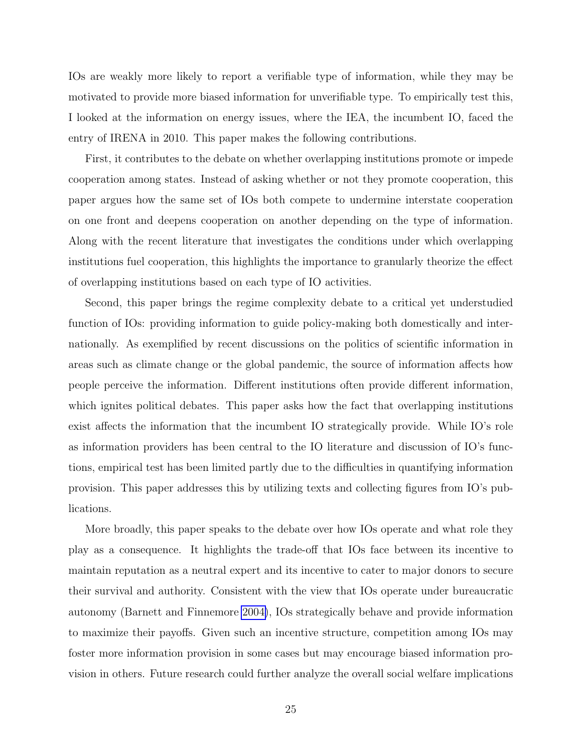IOs are weakly more likely to report a verifiable type of information, while they may be motivated to provide more biased information for unverifiable type. To empirically test this, I looked at the information on energy issues, where the IEA, the incumbent IO, faced the entry of IRENA in 2010. This paper makes the following contributions.

First, it contributes to the debate on whether overlapping institutions promote or impede cooperation among states. Instead of asking whether or not they promote cooperation, this paper argues how the same set of IOs both compete to undermine interstate cooperation on one front and deepens cooperation on another depending on the type of information. Along with the recent literature that investigates the conditions under which overlapping institutions fuel cooperation, this highlights the importance to granularly theorize the effect of overlapping institutions based on each type of IO activities.

Second, this paper brings the regime complexity debate to a critical yet understudied function of IOs: providing information to guide policy-making both domestically and internationally. As exemplified by recent discussions on the politics of scientific information in areas such as climate change or the global pandemic, the source of information affects how people perceive the information. Different institutions often provide different information, which ignites political debates. This paper asks how the fact that overlapping institutions exist affects the information that the incumbent IO strategically provide. While IO's role as information providers has been central to the IO literature and discussion of IO's functions, empirical test has been limited partly due to the difficulties in quantifying information provision. This paper addresses this by utilizing texts and collecting figures from IO's publications.

More broadly, this paper speaks to the debate over how IOs operate and what role they play as a consequence. It highlights the trade-off that IOs face between its incentive to maintain reputation as a neutral expert and its incentive to cater to major donors to secure their survival and authority. Consistent with the view that IOs operate under bureaucratic autonomy (Barnett and Finnemore [2004\)](#page-26-13), IOs strategically behave and provide information to maximize their payoffs. Given such an incentive structure, competition among IOs may foster more information provision in some cases but may encourage biased information provision in others. Future research could further analyze the overall social welfare implications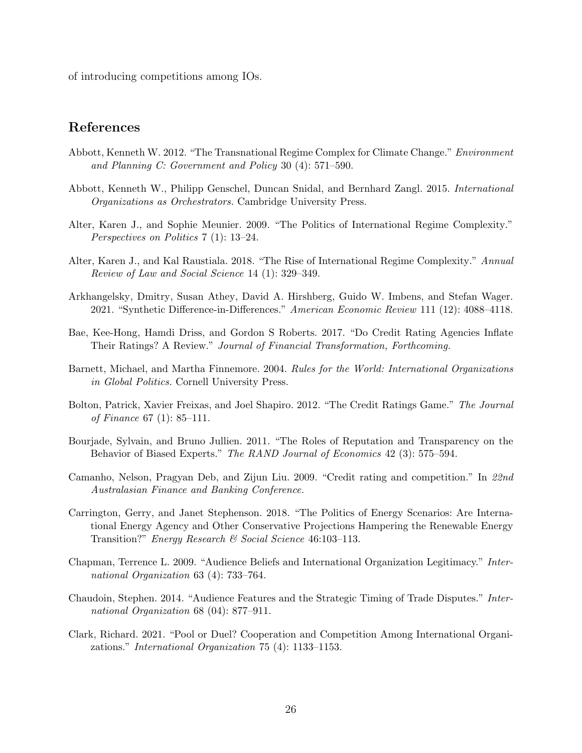of introducing competitions among IOs.

## References

- <span id="page-26-0"></span>Abbott, Kenneth W. 2012. "The Transnational Regime Complex for Climate Change." Environment and Planning C: Government and Policy 30 (4): 571–590.
- <span id="page-26-2"></span>Abbott, Kenneth W., Philipp Genschel, Duncan Snidal, and Bernhard Zangl. 2015. International Organizations as Orchestrators. Cambridge University Press.
- <span id="page-26-3"></span>Alter, Karen J., and Sophie Meunier. 2009. "The Politics of International Regime Complexity." Perspectives on Politics 7 (1): 13–24.
- <span id="page-26-6"></span>Alter, Karen J., and Kal Raustiala. 2018. "The Rise of International Regime Complexity." Annual Review of Law and Social Science 14 (1): 329–349.
- <span id="page-26-1"></span>Arkhangelsky, Dmitry, Susan Athey, David A. Hirshberg, Guido W. Imbens, and Stefan Wager. 2021. "Synthetic Difference-in-Differences." American Economic Review 111 (12): 4088–4118.
- <span id="page-26-12"></span>Bae, Kee-Hong, Hamdi Driss, and Gordon S Roberts. 2017. "Do Credit Rating Agencies Inflate Their Ratings? A Review." Journal of Financial Transformation, Forthcoming.
- <span id="page-26-13"></span>Barnett, Michael, and Martha Finnemore. 2004. Rules for the World: International Organizations in Global Politics. Cornell University Press.
- <span id="page-26-11"></span>Bolton, Patrick, Xavier Freixas, and Joel Shapiro. 2012. "The Credit Ratings Game." The Journal of Finance 67 (1): 85–111.
- <span id="page-26-9"></span>Bourjade, Sylvain, and Bruno Jullien. 2011. "The Roles of Reputation and Transparency on the Behavior of Biased Experts." The RAND Journal of Economics 42 (3): 575–594.
- <span id="page-26-10"></span>Camanho, Nelson, Pragyan Deb, and Zijun Liu. 2009. "Credit rating and competition." In 22nd Australasian Finance and Banking Conference.
- <span id="page-26-8"></span>Carrington, Gerry, and Janet Stephenson. 2018. "The Politics of Energy Scenarios: Are International Energy Agency and Other Conservative Projections Hampering the Renewable Energy Transition?" Energy Research & Social Science 46:103–113.
- <span id="page-26-5"></span>Chapman, Terrence L. 2009. "Audience Beliefs and International Organization Legitimacy." International Organization 63 (4): 733–764.
- <span id="page-26-7"></span>Chaudoin, Stephen. 2014. "Audience Features and the Strategic Timing of Trade Disputes." International Organization 68 (04): 877–911.
- <span id="page-26-4"></span>Clark, Richard. 2021. "Pool or Duel? Cooperation and Competition Among International Organizations." International Organization 75 (4): 1133–1153.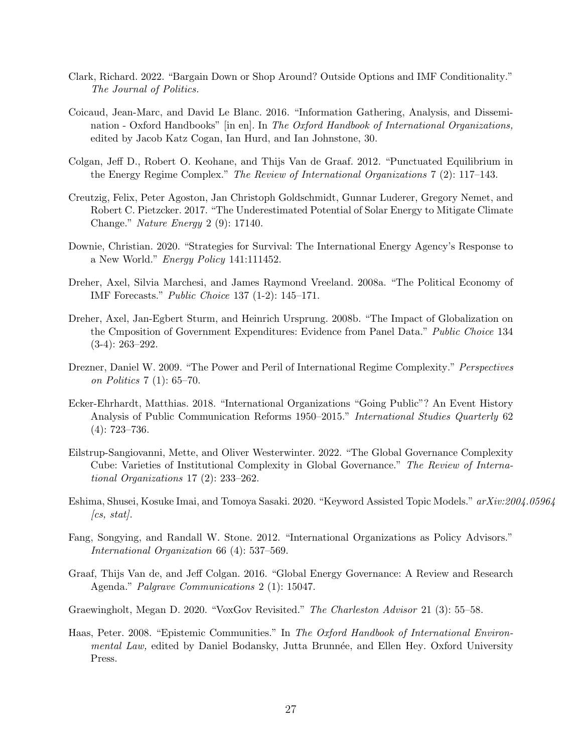- <span id="page-27-2"></span>Clark, Richard. 2022. "Bargain Down or Shop Around? Outside Options and IMF Conditionality." The Journal of Politics.
- <span id="page-27-9"></span>Coicaud, Jean-Marc, and David Le Blanc. 2016. "Information Gathering, Analysis, and Dissemination - Oxford Handbooks" [in en]. In The Oxford Handbook of International Organizations, edited by Jacob Katz Cogan, Ian Hurd, and Ian Johnstone, 30.
- <span id="page-27-0"></span>Colgan, Jeff D., Robert O. Keohane, and Thijs Van de Graaf. 2012. "Punctuated Equilibrium in the Energy Regime Complex." The Review of International Organizations 7 (2): 117–143.
- <span id="page-27-10"></span>Creutzig, Felix, Peter Agoston, Jan Christoph Goldschmidt, Gunnar Luderer, Gregory Nemet, and Robert C. Pietzcker. 2017. "The Underestimated Potential of Solar Energy to Mitigate Climate Change." Nature Energy 2 (9): 17140.
- <span id="page-27-11"></span>Downie, Christian. 2020. "Strategies for Survival: The International Energy Agency's Response to a New World." Energy Policy 141:111452.
- <span id="page-27-8"></span>Dreher, Axel, Silvia Marchesi, and James Raymond Vreeland. 2008a. "The Political Economy of IMF Forecasts." Public Choice 137 (1-2): 145–171.
- <span id="page-27-12"></span>Dreher, Axel, Jan-Egbert Sturm, and Heinrich Ursprung. 2008b. "The Impact of Globalization on the Cmposition of Government Expenditures: Evidence from Panel Data." Public Choice 134 (3-4): 263–292.
- <span id="page-27-4"></span>Drezner, Daniel W. 2009. "The Power and Peril of International Regime Complexity." Perspectives on Politics 7 (1): 65–70.
- <span id="page-27-6"></span>Ecker-Ehrhardt, Matthias. 2018. "International Organizations "Going Public"? An Event History Analysis of Public Communication Reforms 1950–2015." International Studies Quarterly 62 (4): 723–736.
- <span id="page-27-5"></span>Eilstrup-Sangiovanni, Mette, and Oliver Westerwinter. 2022. "The Global Governance Complexity Cube: Varieties of Institutional Complexity in Global Governance." The Review of International Organizations 17 (2): 233–262.
- <span id="page-27-13"></span>Eshima, Shusei, Kosuke Imai, and Tomoya Sasaki. 2020. "Keyword Assisted Topic Models." arXiv:2004.05964  $\int cs, stat$ .
- <span id="page-27-3"></span>Fang, Songying, and Randall W. Stone. 2012. "International Organizations as Policy Advisors." International Organization 66 (4): 537–569.
- <span id="page-27-1"></span>Graaf, Thijs Van de, and Jeff Colgan. 2016. "Global Energy Governance: A Review and Research Agenda." Palgrave Communications 2 (1): 15047.
- <span id="page-27-14"></span>Graewingholt, Megan D. 2020. "VoxGov Revisited." The Charleston Advisor 21 (3): 55–58.
- <span id="page-27-7"></span>Haas, Peter. 2008. "Epistemic Communities." In The Oxford Handbook of International Environmental Law, edited by Daniel Bodansky, Jutta Brunnée, and Ellen Hey. Oxford University Press.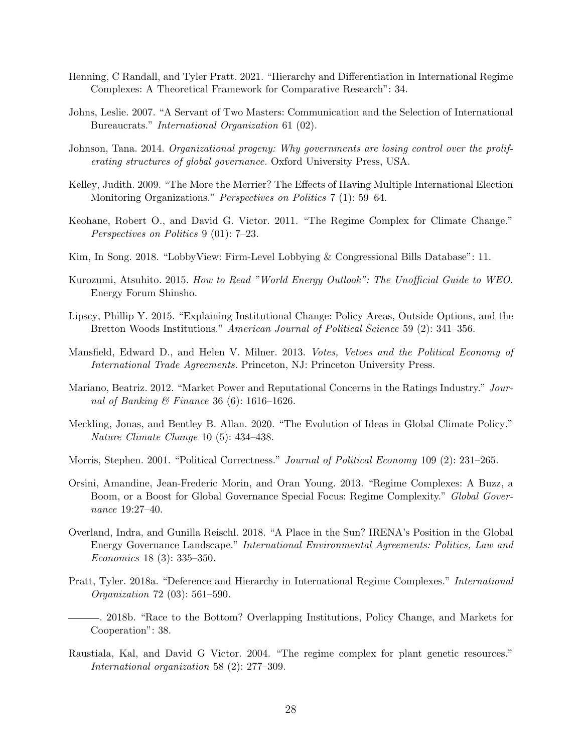- <span id="page-28-3"></span>Henning, C Randall, and Tyler Pratt. 2021. "Hierarchy and Differentiation in International Regime Complexes: A Theoretical Framework for Comparative Research": 34.
- <span id="page-28-9"></span>Johns, Leslie. 2007. "A Servant of Two Masters: Communication and the Selection of International Bureaucrats." International Organization 61 (02).
- <span id="page-28-10"></span>Johnson, Tana. 2014. Organizational progeny: Why governments are losing control over the proliferating structures of global governance. Oxford University Press, USA.
- <span id="page-28-7"></span>Kelley, Judith. 2009. "The More the Merrier? The Effects of Having Multiple International Election Monitoring Organizations." *Perspectives on Politics* 7 (1): 59–64.
- <span id="page-28-0"></span>Keohane, Robert O., and David G. Victor. 2011. "The Regime Complex for Climate Change." Perspectives on Politics 9 (01): 7–23.
- <span id="page-28-16"></span>Kim, In Song. 2018. "LobbyView: Firm-Level Lobbying & Congressional Bills Database": 11.
- <span id="page-28-14"></span>Kurozumi, Atsuhito. 2015. How to Read "World Energy Outlook": The Unofficial Guide to WEO. Energy Forum Shinsho.
- <span id="page-28-13"></span>Lipscy, Phillip Y. 2015. "Explaining Institutional Change: Policy Areas, Outside Options, and the Bretton Woods Institutions." American Journal of Political Science 59 (2): 341–356.
- <span id="page-28-8"></span>Mansfield, Edward D., and Helen V. Milner. 2013. Votes, Vetoes and the Political Economy of International Trade Agreements. Princeton, NJ: Princeton University Press.
- <span id="page-28-11"></span>Mariano, Beatriz. 2012. "Market Power and Reputational Concerns in the Ratings Industry." Journal of Banking & Finance 36 (6): 1616–1626.
- <span id="page-28-15"></span>Meckling, Jonas, and Bentley B. Allan. 2020. "The Evolution of Ideas in Global Climate Policy." Nature Climate Change 10 (5): 434–438.
- <span id="page-28-12"></span>Morris, Stephen. 2001. "Political Correctness." *Journal of Political Economy* 109 (2): 231–265.
- <span id="page-28-6"></span>Orsini, Amandine, Jean-Frederic Morin, and Oran Young. 2013. "Regime Complexes: A Buzz, a Boom, or a Boost for Global Governance Special Focus: Regime Complexity." Global Governance 19:27–40.
- <span id="page-28-1"></span>Overland, Indra, and Gunilla Reischl. 2018. "A Place in the Sun? IRENA's Position in the Global Energy Governance Landscape." International Environmental Agreements: Politics, Law and Economics 18 (3): 335–350.
- <span id="page-28-2"></span>Pratt, Tyler. 2018a. "Deference and Hierarchy in International Regime Complexes." International Organization 72 (03): 561–590.
- <span id="page-28-4"></span>. 2018b. "Race to the Bottom? Overlapping Institutions, Policy Change, and Markets for Cooperation": 38.
- <span id="page-28-5"></span>Raustiala, Kal, and David G Victor. 2004. "The regime complex for plant genetic resources." International organization 58 (2): 277–309.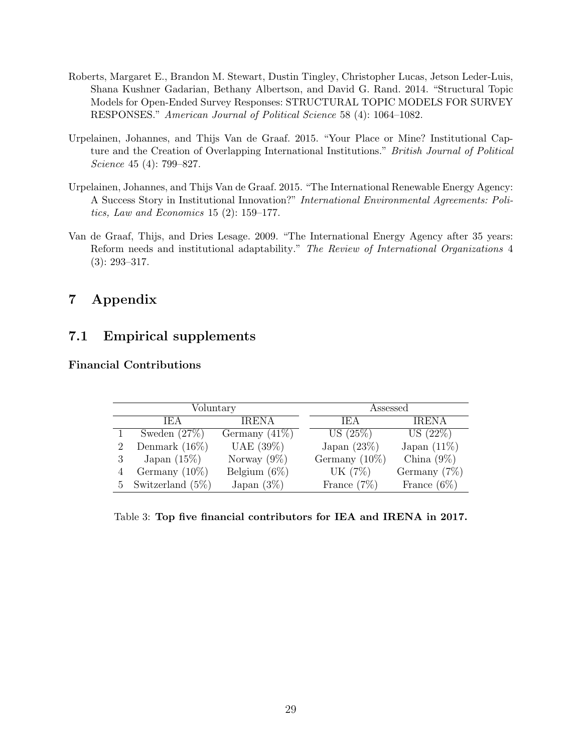- <span id="page-29-4"></span>Roberts, Margaret E., Brandon M. Stewart, Dustin Tingley, Christopher Lucas, Jetson Leder-Luis, Shana Kushner Gadarian, Bethany Albertson, and David G. Rand. 2014. "Structural Topic Models for Open-Ended Survey Responses: STRUCTURAL TOPIC MODELS FOR SURVEY RESPONSES." American Journal of Political Science 58 (4): 1064–1082.
- <span id="page-29-1"></span>Urpelainen, Johannes, and Thijs Van de Graaf. 2015. "Your Place or Mine? Institutional Capture and the Creation of Overlapping International Institutions." British Journal of Political Science 45 (4): 799–827.
- <span id="page-29-2"></span>Urpelainen, Johannes, and Thijs Van de Graaf. 2015. "The International Renewable Energy Agency: A Success Story in Institutional Innovation?" International Environmental Agreements: Politics, Law and Economics 15 (2): 159–177.
- <span id="page-29-0"></span>Van de Graaf, Thijs, and Dries Lesage. 2009. "The International Energy Agency after 35 years: Reform needs and institutional adaptability." The Review of International Organizations 4 (3): 293–317.

## 7 Appendix

## 7.1 Empirical supplements

#### <span id="page-29-3"></span>Financial Contributions

| Voluntary |                       | Assessed         |  |                  |                 |
|-----------|-----------------------|------------------|--|------------------|-----------------|
|           | IEA.                  | <b>IRENA</b>     |  | IEA              | <b>IRENA</b>    |
|           | Sweden $(27%)$        | Germany $(41\%)$ |  | US $(25\%)$      | US (22%)        |
|           | Denmark $(16\%)$      | UAE $(39\%)$     |  | Japan $(23\%)$   | Japan $(11\%)$  |
|           | Japan $(15\%)$        | Norway $(9\%)$   |  | Germany $(10\%)$ | China $(9\%)$   |
|           | Germany $(10\%)$      | Belgium $(6\%)$  |  | UK (7%)          | Germany $(7\%)$ |
|           | 5 Switzerland $(5\%)$ | Japan $(3\%)$    |  | France $(7\%)$   | France $(6\%)$  |

Table 3: Top five financial contributors for IEA and IRENA in 2017.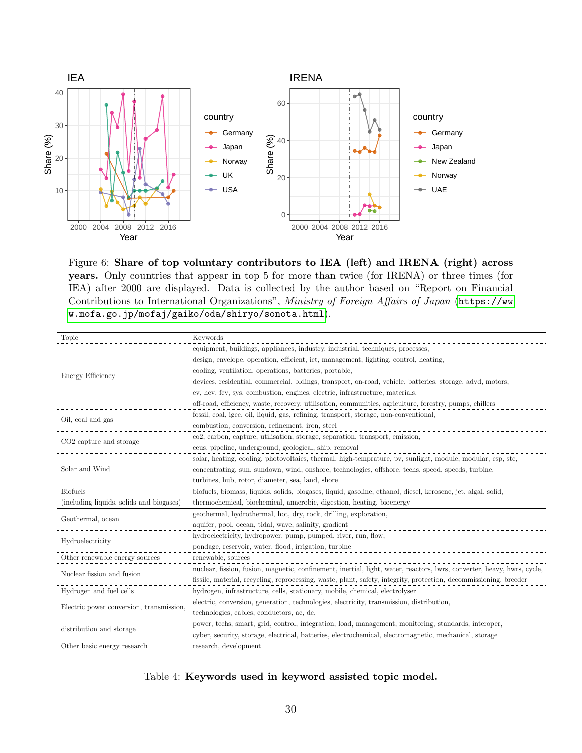<span id="page-30-0"></span>

Figure 6: Share of top voluntary contributors to IEA (left) and IRENA (right) across years. Only countries that appear in top 5 for more than twice (for IRENA) or three times (for IEA) after 2000 are displayed. Data is collected by the author based on "Report on Financial Contributions to International Organizations", Ministry of Foreign Affairs of Japan ([https://ww](https://www.mofa.go.jp/mofaj/gaiko/oda/shiryo/sonota.html) [w.mofa.go.jp/mofaj/gaiko/oda/shiryo/sonota.html](https://www.mofa.go.jp/mofaj/gaiko/oda/shiryo/sonota.html)).

<span id="page-30-1"></span>

| Topic                                    | Keywords                                                                                                                |  |  |
|------------------------------------------|-------------------------------------------------------------------------------------------------------------------------|--|--|
|                                          | equipment, buildings, appliances, industry, industrial, techniques, processes,                                          |  |  |
|                                          | design, envelope, operation, efficient, ict, management, lighting, control, heating,                                    |  |  |
| Energy Efficiency                        | cooling, ventilation, operations, batteries, portable,                                                                  |  |  |
|                                          | devices, residential, commercial, bldings, transport, on-road, vehicle, batteries, storage, advd, motors,               |  |  |
|                                          | ev, hev, fcv, sys, combustion, engines, electric, infrastructure, materials,                                            |  |  |
|                                          | off-road, efficiency, waste, recovery, utilisation, communities, agriculture, forestry, pumps, chillers                 |  |  |
| Oil, coal and gas                        | fossil, coal, igcc, oil, liquid, gas, refining, transport, storage, non-conventional,                                   |  |  |
|                                          | combustion, conversion, refinement, iron, steel                                                                         |  |  |
| CO <sub>2</sub> capture and storage      | co2, carbon, capture, utilisation, storage, separation, transport, emission,                                            |  |  |
|                                          | ccus, pipeline, underground, geological, ship, removal                                                                  |  |  |
| Solar and Wind                           | solar, heating, cooling, photovoltaics, thermal, high-temprature, pv, sunlight, module, modular, csp, ste,              |  |  |
|                                          | concentrating, sun, sundown, wind, onshore, technologies, offshore, techs, speed, speeds, turbine,                      |  |  |
|                                          | turbines, hub, rotor, diameter, sea, land, shore                                                                        |  |  |
| <b>Biofuels</b>                          | biofuels, biomass, liquids, solids, biogases, liquid, gasoline, ethanol, diesel, kerosene, jet, algal, solid,           |  |  |
| (including liquids, solids and biogases) | thermochemical, biochemical, anaerobic, digestion, heating, bioenergy                                                   |  |  |
| Geothermal, ocean                        | geothermal, hydrothermal, hot, dry, rock, drilling, exploration,                                                        |  |  |
|                                          | aquifer, pool, ocean, tidal, wave, salinity, gradient                                                                   |  |  |
| Hydroelectricity                         | hydroelectricity, hydropower, pump, pumped, river, run, flow,                                                           |  |  |
|                                          | pondage, reservoir, water, flood, irrigation, turbine                                                                   |  |  |
| Other renewable energy sources           | renewable, sources                                                                                                      |  |  |
| Nuclear fission and fusion               | nuclear, fission, fusion, magnetic, confinement, inertial, light, water, reactors, lwrs, converter, heavy, hwrs, cycle, |  |  |
|                                          | fissile, material, recycling, reprocessing, waste, plant, safety, integrity, protection, decommissioning, breeder       |  |  |
| Hydrogen and fuel cells                  | hydrogen, infrastructure, cells, stationary, mobile, chemical, electrolyser                                             |  |  |
| Electric power conversion, transmission, | electric, conversion, generation, technologies, electricity, transmission, distribution,                                |  |  |
|                                          | technologies, cables, conductors, ac, dc,                                                                               |  |  |
| distribution and storage                 | power, techs, smart, grid, control, integration, load, management, monitoring, standards, interoper,                    |  |  |
|                                          | cyber, security, storage, electrical, batteries, electrochemical, electromagnetic, mechanical, storage                  |  |  |
| Other basic energy research              | research, development                                                                                                   |  |  |

Table 4: Keywords used in keyword assisted topic model.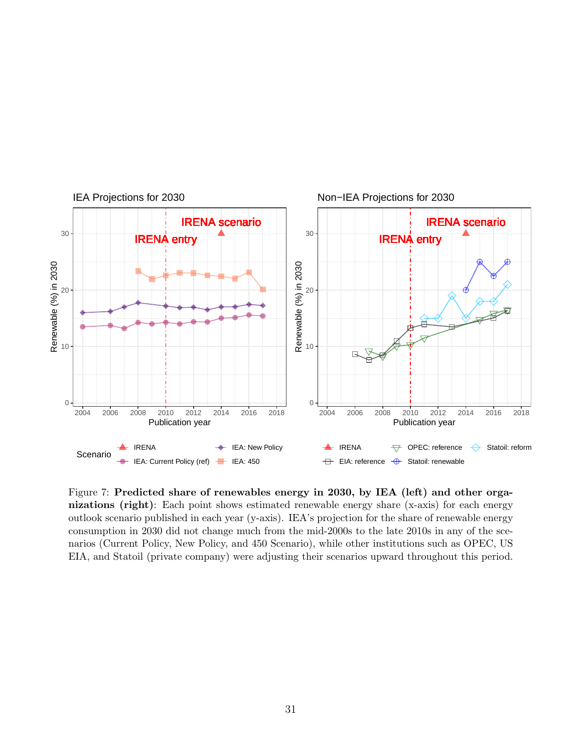<span id="page-31-0"></span>

Figure 7: Predicted share of renewables energy in 2030, by IEA (left) and other organizations (right): Each point shows estimated renewable energy share (x-axis) for each energy outlook scenario published in each year (y-axis). IEA's projection for the share of renewable energy consumption in 2030 did not change much from the mid-2000s to the late 2010s in any of the scenarios (Current Policy, New Policy, and 450 Scenario), while other institutions such as OPEC, US EIA, and Statoil (private company) were adjusting their scenarios upward throughout this period.